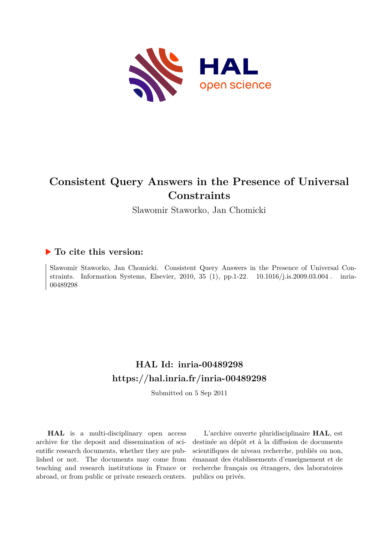

# **Consistent Query Answers in the Presence of Universal Constraints**

Slawomir Staworko, Jan Chomicki

# **To cite this version:**

Slawomir Staworko, Jan Chomicki. Consistent Query Answers in the Presence of Universal Constraints. Information Systems, Elsevier, 2010, 35 (1), pp.1-22.  $10.1016/j.is.2009.03.004$ . inria-00489298ff

# **HAL Id: inria-00489298 <https://hal.inria.fr/inria-00489298>**

Submitted on 5 Sep 2011

**HAL** is a multi-disciplinary open access archive for the deposit and dissemination of scientific research documents, whether they are published or not. The documents may come from teaching and research institutions in France or abroad, or from public or private research centers.

L'archive ouverte pluridisciplinaire **HAL**, est destinée au dépôt et à la diffusion de documents scientifiques de niveau recherche, publiés ou non, émanant des établissements d'enseignement et de recherche français ou étrangers, des laboratoires publics ou privés.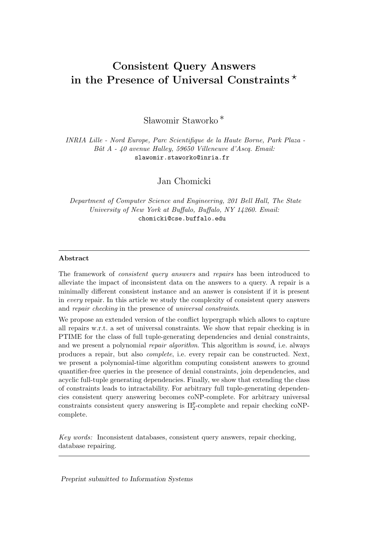# Consistent Query Answers in the Presence of Universal Constraints<sup> $\star$ </sup>

S lawomir Staworko ∗

INRIA Lille - Nord Europe, Parc Scientifique de la Haute Borne, Park Plaza -  $B\hat{a}t$  A - 40 avenue Halley, 59650 Villeneuve d'Ascq. Email: slawomir.staworko@inria.fr

Jan Chomicki

Department of Computer Science and Engineering, 201 Bell Hall, The State University of New York at Buffalo, Buffalo, NY 14260. Email: chomicki@cse.buffalo.edu

#### Abstract

The framework of consistent query answers and repairs has been introduced to alleviate the impact of inconsistent data on the answers to a query. A repair is a minimally different consistent instance and an answer is consistent if it is present in every repair. In this article we study the complexity of consistent query answers and repair checking in the presence of universal constraints.

We propose an extended version of the conflict hypergraph which allows to capture all repairs w.r.t. a set of universal constraints. We show that repair checking is in PTIME for the class of full tuple-generating dependencies and denial constraints, and we present a polynomial *repair algorithm*. This algorithm is *sound*, i.e. always produces a repair, but also complete, i.e. every repair can be constructed. Next, we present a polynomial-time algorithm computing consistent answers to ground quantifier-free queries in the presence of denial constraints, join dependencies, and acyclic full-tuple generating dependencies. Finally, we show that extending the class of constraints leads to intractability. For arbitrary full tuple-generating dependencies consistent query answering becomes coNP-complete. For arbitrary universal constraints consistent query answering is  $\Pi^p_2$ -complete and repair checking coNPcomplete.

Key words: Inconsistent databases, consistent query answers, repair checking, database repairing.

Preprint submitted to Information Systems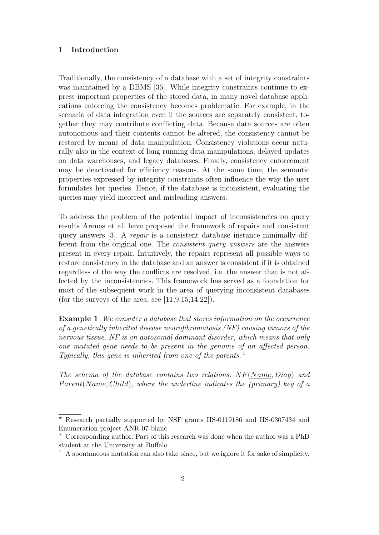### 1 Introduction

Traditionally, the consistency of a database with a set of integrity constraints was maintained by a DBMS [35]. While integrity constraints continue to express important properties of the stored data, in many novel database applications enforcing the consistency becomes problematic. For example, in the scenario of data integration even if the sources are separately consistent, together they may contribute conflicting data. Because data sources are often autonomous and their contents cannot be altered, the consistency cannot be restored by means of data manipulation. Consistency violations occur naturally also in the context of long running data manipulations, delayed updates on data warehouses, and legacy databases. Finally, consistency enforcement may be deactivated for efficiency reasons. At the same time, the semantic properties expressed by integrity constraints often influence the way the user formulates her queries. Hence, if the database is inconsistent, evaluating the queries may yield incorrect and misleading answers.

To address the problem of the potential impact of inconsistencies on query results Arenas et al. have proposed the framework of repairs and consistent query answers [3]. A repair is a consistent database instance minimally different from the original one. The consistent query answers are the answers present in every repair. Intuitively, the repairs represent all possible ways to restore consistency in the database and an answer is consistent if it is obtained regardless of the way the conflicts are resolved, i.e. the answer that is not affected by the inconsistencies. This framework has served as a foundation for most of the subsequent work in the area of querying inconsistent databases (for the surveys of the area, see  $[11,9,15,14,22]$ ).

**Example 1** We consider a database that stores information on the occurrence of a genetically inherited disease neurofibromatosis (NF) causing tumors of the nervous tissue. NF is an autosomal dominant disorder, which means that only one mutated gene needs to be present in the genome of an affected person. Typically, this gene is inherited from one of the parents.<sup>1</sup>

The schema of the database contains two relations:  $NF(Name, Diag)$  and  $Parent(Name, Child),$  where the underline indicates the (primary) key of a

<sup>⋆</sup> Research partially supported by NSF grants IIS-0119186 and IIS-0307434 and Enumeration project ANR-07-blanc

<sup>∗</sup> Corresponding author. Part of this research was done when the author was a PhD student at the University at Buffalo

<sup>1</sup> A spontaneous mutation can also take place, but we ignore it for sake of simplicity.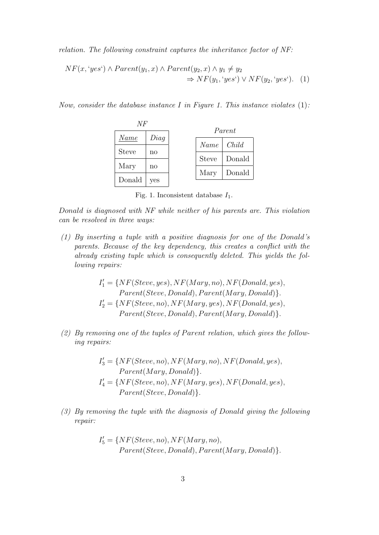relation. The following constraint captures the inheritance factor of NF:

$$
NF(x, 'yes') \land Parent(y_1, x) \land Parent(y_2, x) \land y_1 \neq y_2
$$
  
\n
$$
\Rightarrow NF(y_1, 'yes') \lor NF(y_2, 'yes').
$$
 (1)

Now, consider the database instance I in Figure 1. This instance violates  $(1)$ :



Fig. 1. Inconsistent database  $I_1$ .

Donald is diagnosed with NF while neither of his parents are. This violation can be resolved in three ways:

(1) By inserting a tuple with a positive diagnosis for one of the Donald's parents. Because of the key dependency, this creates a conflict with the already existing tuple which is consequently deleted. This yields the following repairs:

$$
I'_1 = \{ NF(Steve, yes), NF(Mary, no), NF(Donald, yes), \newline Parent(Steve, Donald), Parent(Mary, Donald) \}.
$$
  

$$
I'_2 = \{ NF(Steve, no), NF(Mary, yes), NF(Donald, yes), \newline Parent(Steve, Donald), Parent(Mary, Donald) \}.
$$

(2) By removing one of the tuples of Parent relation, which gives the following repairs:

> $I'_3 = \{ NF(Steve, no), NF(Mary, no), NF(Donald, yes),$  $Parent(Mary, Donald)$ .  $I_4' = \{ NF(Steve, no), NF(Mary, yes), NF(Donald, yes),$  $Parent(Steve, Donald)$ .

(3) By removing the tuple with the diagnosis of Donald giving the following repair:

$$
I'_5 = \{ NF(Steve, no), NF(Mary, no),
$$
  
Parent(Steve, Donald), Parent(Mary, Donald) \}.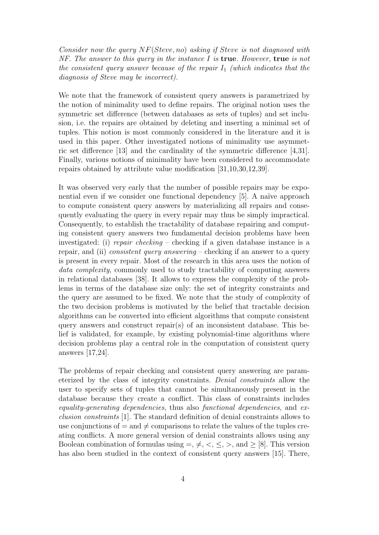Consider now the query  $NF(Steve, no)$  asking if Steve is not diagnosed with  $NF.$  The answer to this query in the instance I is true. However, true is not the consistent query answer because of the repair  $I_1$  (which indicates that the diagnosis of Steve may be incorrect).

We note that the framework of consistent query answers is parametrized by the notion of minimality used to define repairs. The original notion uses the symmetric set difference (between databases as sets of tuples) and set inclusion, i.e. the repairs are obtained by deleting and inserting a minimal set of tuples. This notion is most commonly considered in the literature and it is used in this paper. Other investigated notions of minimality use asymmetric set difference [13] and the cardinality of the symmetric difference [4,31]. Finally, various notions of minimality have been considered to accommodate repairs obtained by attribute value modification [31,10,30,12,39].

It was observed very early that the number of possible repairs may be exponential even if we consider one functional dependency  $[5]$ . A naïve approach to compute consistent query answers by materializing all repairs and consequently evaluating the query in every repair may thus be simply impractical. Consequently, to establish the tractability of database repairing and computing consistent query answers two fundamental decision problems have been investigated: (i) repair checking – checking if a given database instance is a repair, and (ii) consistent query answering – checking if an answer to a query is present in every repair. Most of the research in this area uses the notion of data complexity, commonly used to study tractability of computing answers in relational databases [38]. It allows to express the complexity of the problems in terms of the database size only: the set of integrity constraints and the query are assumed to be fixed. We note that the study of complexity of the two decision problems is motivated by the belief that tractable decision algorithms can be converted into efficient algorithms that compute consistent query answers and construct repair(s) of an inconsistent database. This belief is validated, for example, by existing polynomial-time algorithms where decision problems play a central role in the computation of consistent query answers [17,24].

The problems of repair checking and consistent query answering are parameterized by the class of integrity constraints. Denial constraints allow the user to specify sets of tuples that cannot be simultaneously present in the database because they create a conflict. This class of constraints includes equality-generating dependencies, thus also functional dependencies, and exclusion constraints [1]. The standard definition of denial constraints allows to use conjunctions of  $=$  and  $\neq$  comparisons to relate the values of the tuples creating conflicts. A more general version of denial constraints allows using any Boolean combination of formulas using  $=, \neq, \leq, \leq, >,$  and  $\geq$  [8]. This version has also been studied in the context of consistent query answers [15]. There,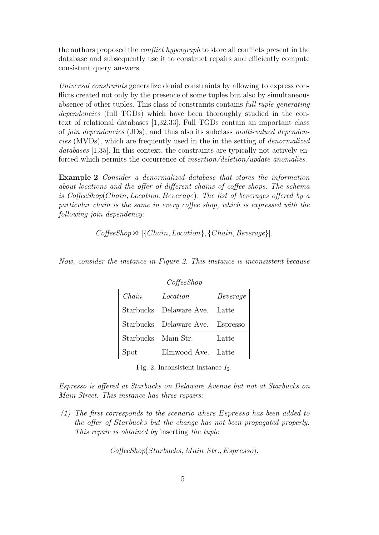the authors proposed the conflict hypergraph to store all conflicts present in the database and subsequently use it to construct repairs and efficiently compute consistent query answers.

Universal constraints generalize denial constraints by allowing to express conflicts created not only by the presence of some tuples but also by simultaneous absence of other tuples. This class of constraints contains full tuple-generating dependencies (full TGDs) which have been thoroughly studied in the context of relational databases [1,32,33]. Full TGDs contain an important class of join dependencies (JDs), and thus also its subclass multi-valued dependencies (MVDs), which are frequently used in the in the setting of denormalized databases [1,35]. In this context, the constraints are typically not actively enforced which permits the occurrence of insertion/deletion/update anomalies.

Example 2 Consider a denormalized database that stores the information about locations and the offer of different chains of coffee shops. The schema is CoffeeShop(Chain, Location, Beverage). The list of beverages offered by a particular chain is the same in every coffee shop, which is expressed with the following join dependency:

 $Cof feeShop \Join: [\{Chain,Location\}, \{Chain,Beverage\}].$ 

| $Cof\neq Shop$ |               |                 |  |  |  |
|----------------|---------------|-----------------|--|--|--|
| Chain          | Location      | Beverage        |  |  |  |
| Starbucks      | Delaware Ave. | Latte           |  |  |  |
| Starbucks      | Delaware Ave. | <b>Espresso</b> |  |  |  |
| Starbucks      | Main Str.     | Latte           |  |  |  |
| Spot           | Elmwood Ave.  | Latte           |  |  |  |

Now, consider the instance in Figure 2. This instance is inconsistent because

Fig. 2. Inconsistent instance  $I_2$ .

Espresso is offered at Starbucks on Delaware Avenue but not at Starbucks on Main Street. This instance has three repairs:

(1) The first corresponds to the scenario where Espresso has been added to the offer of Starbucks but the change has not been propagated properly. This repair is obtained by inserting the tuple

CoffeeShop(Starbucks, M ain Str., Espresso).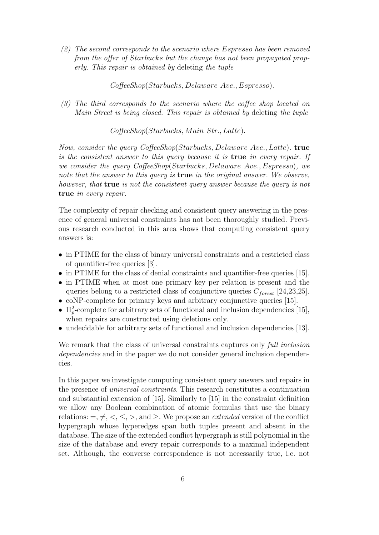(2) The second corresponds to the scenario where Espresso has been removed from the offer of Starbucks but the change has not been propagated properly. This repair is obtained by deleting the tuple

CoffeeShop(Starbucks, Delaware Ave., Espresso).

(3) The third corresponds to the scenario where the coffee shop located on Main Street is being closed. This repair is obtained by deleting the tuple

CoffeeShop(Starbucks, Main Str., Latte).

Now, consider the query CoffeeShop(Starbucks, Delaware Ave., Latte). true is the consistent answer to this query because it is true in every repair. If we consider the query CoffeeShop(Starbucks, Delaware Ave., Espresso), we note that the answer to this query is **true** in the original answer. We observe, however, that true is not the consistent query answer because the query is not true in every repair.

The complexity of repair checking and consistent query answering in the presence of general universal constraints has not been thoroughly studied. Previous research conducted in this area shows that computing consistent query answers is:

- in PTIME for the class of binary universal constraints and a restricted class of quantifier-free queries [3].
- in PTIME for the class of denial constraints and quantifier-free queries [15].
- in PTIME when at most one primary key per relation is present and the queries belong to a restricted class of conjunctive queries  $C_{forest}$  [24,23,25].
- coNP-complete for primary keys and arbitrary conjunctive queries [15].
- $\Pi_p^2$ -complete for arbitrary sets of functional and inclusion dependencies [15], when repairs are constructed using deletions only.
- undecidable for arbitrary sets of functional and inclusion dependencies [13].

We remark that the class of universal constraints captures only full inclusion dependencies and in the paper we do not consider general inclusion dependencies.

In this paper we investigate computing consistent query answers and repairs in the presence of universal constraints. This research constitutes a continuation and substantial extension of [15]. Similarly to [15] in the constraint definition we allow any Boolean combination of atomic formulas that use the binary relations:  $=$ ,  $\neq$ ,  $\lt$ ,  $\leq$ ,  $>$ , and  $\geq$ . We propose an *extended* version of the conflict hypergraph whose hyperedges span both tuples present and absent in the database. The size of the extended conflict hypergraph is still polynomial in the size of the database and every repair corresponds to a maximal independent set. Although, the converse correspondence is not necessarily true, i.e. not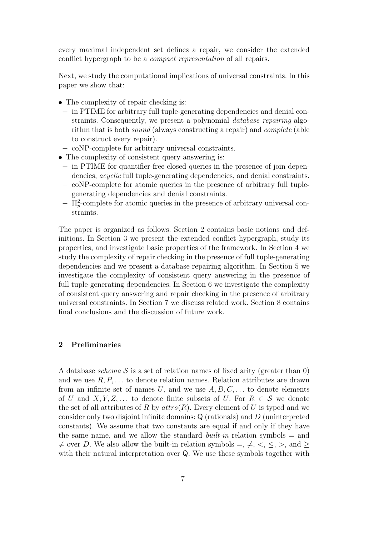every maximal independent set defines a repair, we consider the extended conflict hypergraph to be a compact representation of all repairs.

Next, we study the computational implications of universal constraints. In this paper we show that:

- The complexity of repair checking is:
- − in PTIME for arbitrary full tuple-generating dependencies and denial constraints. Consequently, we present a polynomial database repairing algorithm that is both sound (always constructing a repair) and complete (able to construct every repair).
- − coNP-complete for arbitrary universal constraints.
- The complexity of consistent query answering is:
- − in PTIME for quantifier-free closed queries in the presence of join dependencies, acyclic full tuple-generating dependencies, and denial constraints.
- − coNP-complete for atomic queries in the presence of arbitrary full tuplegenerating dependencies and denial constraints.
- $-\Pi_p^2$ -complete for atomic queries in the presence of arbitrary universal constraints.

The paper is organized as follows. Section 2 contains basic notions and definitions. In Section 3 we present the extended conflict hypergraph, study its properties, and investigate basic properties of the framework. In Section 4 we study the complexity of repair checking in the presence of full tuple-generating dependencies and we present a database repairing algorithm. In Section 5 we investigate the complexity of consistent query answering in the presence of full tuple-generating dependencies. In Section 6 we investigate the complexity of consistent query answering and repair checking in the presence of arbitrary universal constraints. In Section 7 we discuss related work. Section 8 contains final conclusions and the discussion of future work.

# 2 Preliminaries

A database *schema*  $S$  is a set of relation names of fixed arity (greater than 0) and we use  $R, P, \ldots$  to denote relation names. Relation attributes are drawn from an infinite set of names U, and we use  $A, B, C, \ldots$  to denote elements of U and  $X, Y, Z, \ldots$  to denote finite subsets of U. For  $R \in \mathcal{S}$  we denote the set of all attributes of R by  $attrs(R)$ . Every element of U is typed and we consider only two disjoint infinite domains: Q (rationals) and D (uninterpreted constants). We assume that two constants are equal if and only if they have the same name, and we allow the standard *built-in* relation symbols  $=$  and  $\neq$  over D. We also allow the built-in relation symbols =,  $\neq$ , <,  $\leq$ , >, and  $\geq$ with their natural interpretation over  $Q$ . We use these symbols together with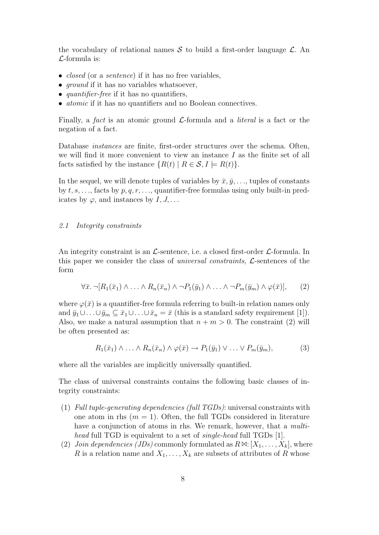the vocabulary of relational names  $S$  to build a first-order language  $\mathcal{L}$ . An  $\mathcal{L}$ -formula is:

- *closed* (or a *sentence*) if it has no free variables,
- *ground* if it has no variables whatsoever,
- *quantifier-free* if it has no quantifiers,
- *atomic* if it has no quantifiers and no Boolean connectives.

Finally, a fact is an atomic ground  $\mathcal{L}$ -formula and a *literal* is a fact or the negation of a fact.

Database instances are finite, first-order structures over the schema. Often, we will find it more convenient to view an instance  $I$  as the finite set of all facts satisfied by the instance  $\{R(t) | R \in \mathcal{S}, I \models R(t)\}.$ 

In the sequel, we will denote tuples of variables by  $\bar{x}, \bar{y}, \ldots$ , tuples of constants by  $t, s, \ldots$ , facts by  $p, q, r, \ldots$ , quantifier-free formulas using only built-in predicates by  $\varphi$ , and instances by  $I, J, \ldots$ 

### 2.1 Integrity constraints

An integrity constraint is an  $\mathcal{L}\text{-sentence}$ , i.e. a closed first-order  $\mathcal{L}\text{-formula}$ . In this paper we consider the class of *universal constraints*,  $\mathcal{L}$ -sentences of the form

$$
\forall \bar{x} \cdot \neg[R_1(\bar{x}_1) \land \ldots \land R_n(\bar{x}_n) \land \neg P_1(\bar{y}_1) \land \ldots \land \neg P_m(\bar{y}_m) \land \varphi(\bar{x})], \qquad (2)
$$

where  $\varphi(\bar{x})$  is a quantifier-free formula referring to built-in relation names only and  $\bar{y}_1 \cup \ldots \cup \bar{y}_m \subseteq \bar{x}_1 \cup \ldots \cup \bar{x}_n = \bar{x}$  (this is a standard safety requirement [1]). Also, we make a natural assumption that  $n + m > 0$ . The constraint (2) will be often presented as:

$$
R_1(\bar{x}_1) \wedge \ldots \wedge R_n(\bar{x}_n) \wedge \varphi(\bar{x}) \to P_1(\bar{y}_1) \vee \ldots \vee P_m(\bar{y}_m),
$$
 (3)

where all the variables are implicitly universally quantified.

The class of universal constraints contains the following basic classes of integrity constraints:

- (1) Full tuple-generating dependencies (full  $TGDs$ ): universal constraints with one atom in rhs  $(m = 1)$ . Often, the full TGDs considered in literature have a conjunction of atoms in rhs. We remark, however, that a *multi*head full TGD is equivalent to a set of *single-head* full TGDs [1].
- (2) Join dependencies (JDs) commonly formulated as  $R \Join : [X_1, \ldots, X_k]$ , where R is a relation name and  $X_1, \ldots, X_k$  are subsets of attributes of R whose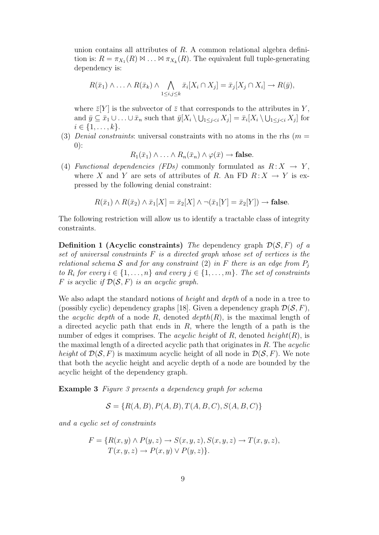union contains all attributes of R. A common relational algebra definition is:  $R = \pi_{X_1}(R) \bowtie \ldots \bowtie \pi_{X_k}(R)$ . The equivalent full tuple-generating dependency is:

$$
R(\bar{x}_1) \wedge \ldots \wedge R(\bar{x}_k) \wedge \bigwedge_{1 \leq i,j \leq k} \bar{x}_i[X_i \cap X_j] = \bar{x}_j[X_j \cap X_i] \rightarrow R(\bar{y}),
$$

where  $\bar{z}[Y]$  is the subvector of  $\bar{z}$  that corresponds to the attributes in Y, and  $\bar{y} \subseteq \bar{x}_1 \cup \ldots \cup \bar{x}_n$  such that  $\bar{y}[X_i \setminus \bigcup_{1 \leq j < i} X_j] = \bar{x}_i[X_i \setminus \bigcup_{1 \leq j < i} X_j]$  for  $i \in \{1, \ldots, k\}.$ 

(3) Denial constraints: universal constraints with no atoms in the rhs ( $m =$ 0):

 $R_1(\bar{x}_1) \wedge \ldots \wedge R_n(\bar{x}_n) \wedge \varphi(\bar{x}) \rightarrow$  false.

(4) Functional dependencies (FDs) commonly formulated as  $R: X \rightarrow Y$ , where X and Y are sets of attributes of R. An FD  $R: X \to Y$  is expressed by the following denial constraint:

$$
R(\bar{x}_1) \wedge R(\bar{x}_2) \wedge \bar{x}_1[X] = \bar{x}_2[X] \wedge \neg(\bar{x}_1[Y] = \bar{x}_2[Y]) \rightarrow \mathbf{false}.
$$

The following restriction will allow us to identify a tractable class of integrity constraints.

**Definition 1 (Acyclic constraints)** The dependency graph  $\mathcal{D}(\mathcal{S}, F)$  of a set of universal constraints  $F$  is a directed graph whose set of vertices is the relational schema S and for any constraint (2) in F there is an edge from  $P_i$ to  $R_i$  for every  $i \in \{1, \ldots, n\}$  and every  $j \in \{1, \ldots, m\}$ . The set of constraints F is acyclic if  $\mathcal{D}(\mathcal{S}, F)$  is an acyclic graph.

We also adapt the standard notions of *height* and *depth* of a node in a tree to (possibly cyclic) dependency graphs [18]. Given a dependency graph  $\mathcal{D}(\mathcal{S}, F)$ , the *acyclic depth* of a node  $R$ , denoted  $depth(R)$ , is the maximal length of a directed acyclic path that ends in  $R$ , where the length of a path is the number of edges it comprises. The *acyclic height* of R, denoted  $height(R)$ , is the maximal length of a directed acyclic path that originates in  $R$ . The *acyclic* height of  $\mathcal{D}(\mathcal{S}, F)$  is maximum acyclic height of all node in  $\mathcal{D}(\mathcal{S}, F)$ . We note that both the acyclic height and acyclic depth of a node are bounded by the acyclic height of the dependency graph.

Example 3 Figure 3 presents a dependency graph for schema

$$
S = \{ R(A, B), P(A, B), T(A, B, C), S(A, B, C) \}
$$

and a cyclic set of constraints

$$
F = \{ R(x, y) \land P(y, z) \rightarrow S(x, y, z), S(x, y, z) \rightarrow T(x, y, z),
$$
  

$$
T(x, y, z) \rightarrow P(x, y) \lor P(y, z) \}.
$$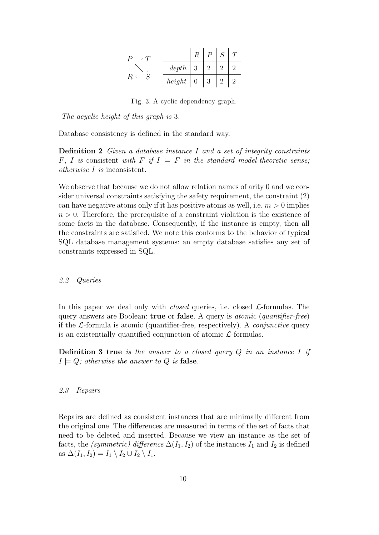|              | $\boldsymbol{R}$ | D              |  |
|--------------|------------------|----------------|--|
| $depth \mid$ | 3                | $\overline{2}$ |  |
| $height$     | 0                | 3              |  |

Fig. 3. A cyclic dependency graph.

The acyclic height of this graph is 3.

Database consistency is defined in the standard way.

Definition 2 Given a database instance I and a set of integrity constraints F, I is consistent with F if  $I \models F$  in the standard model-theoretic sense; otherwise I is inconsistent.

We observe that because we do not allow relation names of arity 0 and we consider universal constraints satisfying the safety requirement, the constraint (2) can have negative atoms only if it has positive atoms as well, i.e.  $m > 0$  implies  $n > 0$ . Therefore, the prerequisite of a constraint violation is the existence of some facts in the database. Consequently, if the instance is empty, then all the constraints are satisfied. We note this conforms to the behavior of typical SQL database management systems: an empty database satisfies any set of constraints expressed in SQL.

#### 2.2 Queries

In this paper we deal only with *closed* queries, i.e. closed  $\mathcal{L}$ -formulas. The query answers are Boolean: true or false. A query is atomic (quantifier-free) if the  $\mathcal{L}$ -formula is atomic (quantifier-free, respectively). A *conjunctive* query is an existentially quantified conjunction of atomic  $\mathcal{L}$ -formulas.

**Definition 3 true** is the answer to a closed query  $Q$  in an instance I if  $I \models Q$ ; otherwise the answer to Q is false.

#### 2.3 Repairs

Repairs are defined as consistent instances that are minimally different from the original one. The differences are measured in terms of the set of facts that need to be deleted and inserted. Because we view an instance as the set of facts, the (symmetric) difference  $\Delta(I_1, I_2)$  of the instances  $I_1$  and  $I_2$  is defined as  $\Delta(I_1, I_2) = I_1 \setminus I_2 \cup I_2 \setminus I_1$ .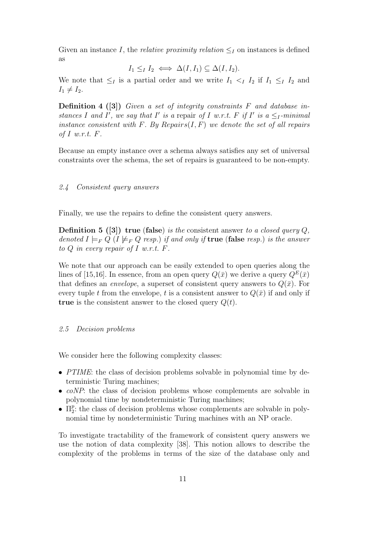Given an instance I, the *relative proximity relation*  $\leq_I$  on instances is defined as

$$
I_1 \leq_I I_2 \iff \Delta(I, I_1) \subseteq \Delta(I, I_2).
$$

We note that  $\leq_I$  is a partial order and we write  $I_1 \leq_I I_2$  if  $I_1 \leq_I I_2$  and  $I_1 \neq I_2.$ 

**Definition 4** ([3]) Given a set of integrity constraints F and database instances I and I', we say that I' is a repair of I w.r.t. F if I' is  $a \leq_I$ -minimal instance consistent with F. By Repairs $(I, F)$  we denote the set of all repairs of I w.r.t.  $F$ .

Because an empty instance over a schema always satisfies any set of universal constraints over the schema, the set of repairs is guaranteed to be non-empty.

#### 2.4 Consistent query answers

Finally, we use the repairs to define the consistent query answers.

**Definition 5** ([3]) true (false) is the consistent answer to a closed query  $Q$ , denoted  $I \models_F Q$  ( $I \not\models_F Q$  resp.) if and only if **true** (false resp.) is the answer to  $Q$  in every repair of  $I$  w.r.t.  $F$ .

We note that our approach can be easily extended to open queries along the lines of [15,16]. In essence, from an open query  $Q(\bar{x})$  we derive a query  $Q^E(\bar{x})$ that defines an *envelope*, a superset of consistent query answers to  $Q(\bar{x})$ . For every tuple t from the envelope, t is a consistent answer to  $Q(\bar{x})$  if and only if true is the consistent answer to the closed query  $Q(t)$ .

#### 2.5 Decision problems

We consider here the following complexity classes:

- PTIME: the class of decision problems solvable in polynomial time by deterministic Turing machines;
- coNP: the class of decision problems whose complements are solvable in polynomial time by nondeterministic Turing machines;
- $\bullet$   $\Pi_2^p$  $_{2}^{p}$ : the class of decision problems whose complements are solvable in polynomial time by nondeterministic Turing machines with an NP oracle.

To investigate tractability of the framework of consistent query answers we use the notion of data complexity [38]. This notion allows to describe the complexity of the problems in terms of the size of the database only and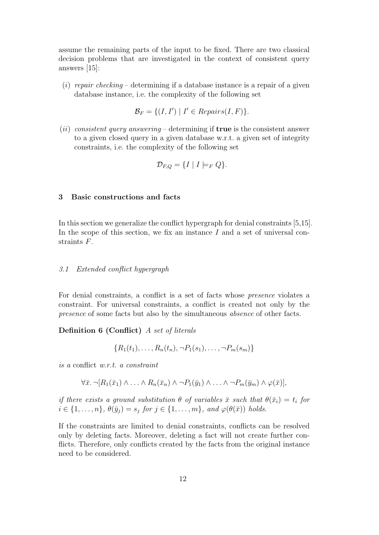assume the remaining parts of the input to be fixed. There are two classical decision problems that are investigated in the context of consistent query answers [15]:

(i) repair checking – determining if a database instance is a repair of a given database instance, i.e. the complexity of the following set

$$
\mathcal{B}_F = \{ (I, I') \mid I' \in Repairs(I, F) \}.
$$

(ii) consistent query answering – determining if  $true$  is the consistent answer to a given closed query in a given database w.r.t. a given set of integrity constraints, i.e. the complexity of the following set

$$
\mathcal{D}_{F,Q} = \{I \mid I \models_F Q\}.
$$

#### 3 Basic constructions and facts

In this section we generalize the conflict hypergraph for denial constraints [5,15]. In the scope of this section, we fix an instance  $I$  and a set of universal constraints F.

#### 3.1 Extended conflict hypergraph

For denial constraints, a conflict is a set of facts whose presence violates a constraint. For universal constraints, a conflict is created not only by the presence of some facts but also by the simultaneous absence of other facts.

Definition 6 (Conflict) A set of literals

$$
\{R_1(t_1),\ldots,R_n(t_n),\neg P_1(s_1),\ldots,\neg P_m(s_m)\}\
$$

is a conflict w.r.t. a constraint

$$
\forall \bar{x}.\neg[R_1(\bar{x}_1) \wedge \ldots \wedge R_n(\bar{x}_n) \wedge \neg P_1(\bar{y}_1) \wedge \ldots \wedge \neg P_m(\bar{y}_m) \wedge \varphi(\bar{x})],
$$

if there exists a ground substitution  $\theta$  of variables  $\bar{x}$  such that  $\theta(\bar{x}_i) = t_i$  for  $i \in \{1, \ldots, n\}, \ \theta(\bar{y}_j) = s_j \ \text{for} \ j \in \{1, \ldots, m\}, \ \text{and} \ \varphi(\theta(\bar{x})) \ \text{holds}.$ 

If the constraints are limited to denial constraints, conflicts can be resolved only by deleting facts. Moreover, deleting a fact will not create further conflicts. Therefore, only conflicts created by the facts from the original instance need to be considered.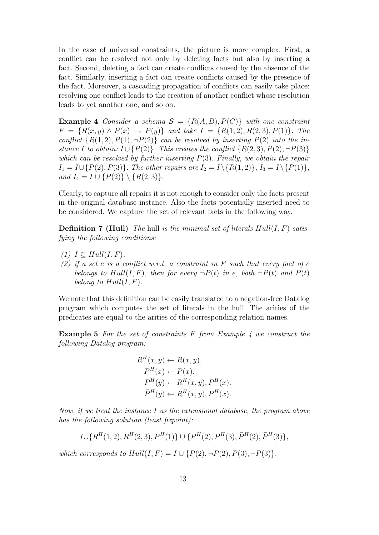In the case of universal constraints, the picture is more complex. First, a conflict can be resolved not only by deleting facts but also by inserting a fact. Second, deleting a fact can create conflicts caused by the absence of the fact. Similarly, inserting a fact can create conflicts caused by the presence of the fact. Moreover, a cascading propagation of conflicts can easily take place: resolving one conflict leads to the creation of another conflict whose resolution leads to yet another one, and so on.

**Example 4** Consider a schema  $S = \{R(A, B), P(C)\}\$  with one constraint  $F = \{R(x, y) \land P(x) \rightarrow P(y)\}\$ and take  $I = \{R(1, 2), R(2, 3), P(1)\}\$ . The conflict  $\{R(1, 2), P(1), \neg P(2)\}\)$  can be resolved by inserting  $P(2)$  into the instance I to obtain:  $I \cup \{P(2)\}\$ . This creates the conflict  $\{R(2,3), P(2), \neg P(3)\}\$ which can be resolved by further inserting  $P(3)$ . Finally, we obtain the repair  $I_1 = I \cup \{P(2), P(3)\}.$  The other repairs are  $I_2 = I \setminus \{R(1, 2)\}, I_3 = I \setminus \{P(1)\},$ and  $I_4 = I \cup \{P(2)\} \setminus \{R(2,3)\}.$ 

Clearly, to capture all repairs it is not enough to consider only the facts present in the original database instance. Also the facts potentially inserted need to be considered. We capture the set of relevant facts in the following way.

**Definition 7 (Hull)** The hull is the minimal set of literals  $Hull(I, F)$  satisfying the following conditions:

- $(1)$   $I \subseteq Hull(I, F)$ ,
- (2) if a set e is a conflict w.r.t. a constraint in F such that every fact of  $e$ belongs to Hull $(I, F)$ , then for every  $\neg P(t)$  in e, both  $\neg P(t)$  and  $P(t)$ belong to  $Hull(I, F)$ .

We note that this definition can be easily translated to a negation-free Datalog program which computes the set of literals in the hull. The arities of the predicates are equal to the arities of the corresponding relation names.

**Example 5** For the set of constraints  $F$  from Example  $\lambda$  we construct the following Datalog program:

$$
R^{H}(x, y) \leftarrow R(x, y).
$$
  
\n
$$
P^{H}(x) \leftarrow P(x).
$$
  
\n
$$
P^{H}(y) \leftarrow R^{H}(x, y), P^{H}(x).
$$
  
\n
$$
\bar{P}^{H}(y) \leftarrow R^{H}(x, y), P^{H}(x).
$$

Now, if we treat the instance I as the extensional database, the program above has the following solution (least fixpoint):

$$
I \cup \{R^H(1,2), R^H(2,3), P^H(1)\} \cup \{P^H(2), P^H(3), \bar{P}^H(2), \bar{P}^H(3)\},\
$$

which corresponds to  $Hull(I, F) = I \cup \{P(2), \neg P(2), P(3), \neg P(3)\}.$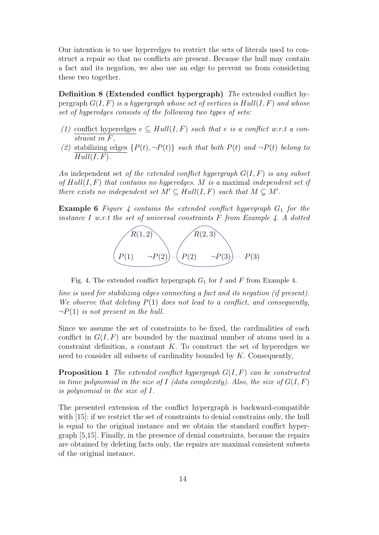Our intention is to use hyperedges to restrict the sets of literals used to construct a repair so that no conflicts are present. Because the hull may contain a fact and its negation, we also use an edge to prevent us from considering these two together.

Definition 8 (Extended conflict hypergraph) The extended conflict hypergraph  $G(I, F)$  is a hypergraph whose set of vertices is  $Hull(I, F)$  and whose set of hyperedges consists of the following two types of sets:

- (1) conflict hyperedges  $e \subseteq Hull(I, F)$  such that e is a conflict w.r.t a constraint in  $F$ .
- (2) stabilizing edges  $\{P(t), \neg P(t)\}\$  such that both  $P(t)$  and  $\neg P(t)$  belong to  $Hull(I, F).$

An independent set of the extended conflict hypergraph  $G(I, F)$  is any subset of  $Hull(I, F)$  that contains no hyperedges. M is a maximal independent set if there exists no independent set  $M' \subseteq Hull(I, F)$  such that  $M \subsetneq M'$ .

**Example 6** Figure 4 contains the extended conflict hypergraph  $G_1$  for the instance I w.r.t the set of universal constraints  $F$  from Example 4. A dotted



Fig. 4. The extended conflict hypergraph  $G_1$  for I and F from Example 4.

line is used for stabilizing edges connecting a fact and its negation (if present). We observe that deleting  $P(1)$  does not lead to a conflict, and consequently,  $\neg P(1)$  is not present in the hull.

Since we assume the set of constraints to be fixed, the cardinalities of each conflict in  $G(I, F)$  are bounded by the maximal number of atoms used in a constraint definition, a constant  $K$ . To construct the set of hyperedges we need to consider all subsets of cardinality bounded by K. Consequently,

**Proposition 1** The extended conflict hypergraph  $G(I, F)$  can be constructed in time polynomial in the size of I (data complexity). Also, the size of  $G(I, F)$ is polynomial in the size of I.

The presented extension of the conflict hypergraph is backward-compatible with [15]: if we restrict the set of constraints to denial constrains only, the hull is equal to the original instance and we obtain the standard conflict hypergraph [5,15]. Finally, in the presence of denial constraints, because the repairs are obtained by deleting facts only, the repairs are maximal consistent subsets of the original instance.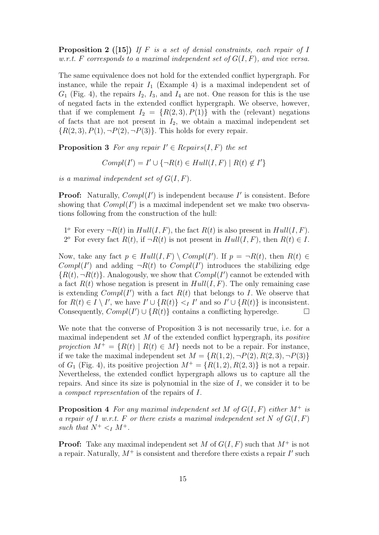**Proposition 2** ([15]) If F is a set of denial constraints, each repair of I w.r.t. F corresponds to a maximal independent set of  $G(I, F)$ , and vice versa.

The same equivalence does not hold for the extended conflict hypergraph. For instance, while the repair  $I_1$  (Example 4) is a maximal independent set of  $G_1$  (Fig. 4), the repairs  $I_2$ ,  $I_3$ , and  $I_4$  are not. One reason for this is the use of negated facts in the extended conflict hypergraph. We observe, however, that if we complement  $I_2 = \{R(2,3), P(1)\}\$  with the (relevant) negations of facts that are not present in  $I_2$ , we obtain a maximal independent set  ${R(2, 3), P(1), \neg P(2), \neg P(3)}$ . This holds for every repair.

**Proposition 3** For any repair  $I' \in Repairs(I, F)$  the set

$$
Compl(I') = I' \cup \{ \neg R(t) \in Hull(I, F) \mid R(t) \notin I' \}
$$

is a maximal independent set of  $G(I, F)$ .

**Proof:** Naturally,  $Compl(I')$  is independent because  $I'$  is consistent. Before showing that  $Compl(I')$  is a maximal independent set we make two observations following from the construction of the hull:

1° For every  $\neg R(t)$  in  $Hull(I, F)$ , the fact  $R(t)$  is also present in  $Hull(I, F)$ . 2<sup>o</sup> For every fact  $R(t)$ , if  $\neg R(t)$  is not present in  $Hull(I, F)$ , then  $R(t) \in I$ .

Now, take any fact  $p \in Hull(I, F) \setminus Compl(I')$ . If  $p = \neg R(t)$ , then  $R(t) \in$ Compl(I') and adding  $\neg R(t)$  to Compl(I') introduces the stabilizing edge  ${R(t), \neg R(t)}$ . Analogously, we show that  $Compl(I')$  cannot be extended with a fact  $R(t)$  whose negation is present in  $Hull(I, F)$ . The only remaining case is extending  $Compl(I')$  with a fact  $R(t)$  that belongs to I. We observe that for  $R(t) \in I \setminus I'$ , we have  $I' \cup \{R(t)\} < I'$  and so  $I' \cup \{R(t)\}\$ is inconsistent. Consequently,  $Compl(I') \cup \{R(t)\}$  contains a conflicting hyperedge.

We note that the converse of Proposition 3 is not necessarily true, i.e. for a maximal independent set  $M$  of the extended conflict hypergraph, its *positive* projection  $M^+ = \{R(t) \mid R(t) \in M\}$  needs not to be a repair. For instance, if we take the maximal independent set  $M = \{R(1, 2), \neg P(2), R(2, 3), \neg P(3)\}\$ of  $G_1$  (Fig. 4), its positive projection  $M^+ = \{R(1, 2), R(2, 3)\}\$ is not a repair. Nevertheless, the extended conflict hypergraph allows us to capture all the repairs. And since its size is polynomial in the size of  $I$ , we consider it to be a compact representation of the repairs of I.

**Proposition 4** For any maximal independent set M of  $G(I, F)$  either  $M^+$  is a repair of I w.r.t. F or there exists a maximal independent set N of  $G(I, F)$ such that  $N^+ <_I M^+$ .

**Proof:** Take any maximal independent set M of  $G(I, F)$  such that  $M^+$  is not a repair. Naturally,  $M^+$  is consistent and therefore there exists a repair  $I'$  such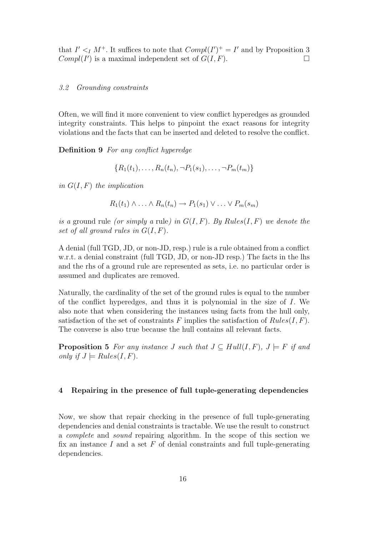that  $I' \leq I M^+$ . It suffices to note that  $Compl(I')^+ = I'$  and by Proposition 3  $Compl(I')$  is a maximal independent set of  $G(I, F)$ .

# 3.2 Grounding constraints

Often, we will find it more convenient to view conflict hyperedges as grounded integrity constraints. This helps to pinpoint the exact reasons for integrity violations and the facts that can be inserted and deleted to resolve the conflict.

Definition 9 For any conflict hyperedge

$$
\{R_1(t_1),\ldots,R_n(t_n),\neg P_1(s_1),\ldots,\neg P_m(t_m)\}\
$$

in  $G(I, F)$  the implication

$$
R_1(t_1) \wedge \ldots \wedge R_n(t_n) \rightarrow P_1(s_1) \vee \ldots \vee P_m(s_m)
$$

is a ground rule (or simply a rule) in  $G(I, F)$ . By Rules(I, F) we denote the set of all ground rules in  $G(I, F)$ .

A denial (full TGD, JD, or non-JD, resp.) rule is a rule obtained from a conflict w.r.t. a denial constraint (full TGD, JD, or non-JD resp.) The facts in the lhs and the rhs of a ground rule are represented as sets, i.e. no particular order is assumed and duplicates are removed.

Naturally, the cardinality of the set of the ground rules is equal to the number of the conflict hyperedges, and thus it is polynomial in the size of I. We also note that when considering the instances using facts from the hull only, satisfaction of the set of constraints F implies the satisfaction of  $Rules(I, F)$ . The converse is also true because the hull contains all relevant facts.

**Proposition 5** For any instance J such that  $J \subseteq Hull(I, F)$ ,  $J \models F$  if and only if  $J \models Rules(I, F)$ .

# 4 Repairing in the presence of full tuple-generating dependencies

Now, we show that repair checking in the presence of full tuple-generating dependencies and denial constraints is tractable. We use the result to construct a complete and sound repairing algorithm. In the scope of this section we fix an instance  $I$  and a set  $F$  of denial constraints and full tuple-generating dependencies.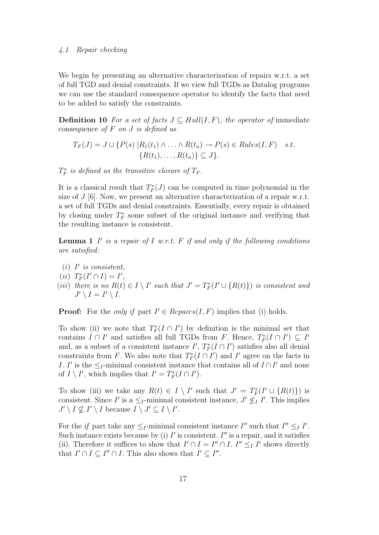We begin by presenting an alternative characterization of repairs w.r.t. a set of full TGD and denial constraints. If we view full TGDs as Datalog programs we can use the standard consequence operator to identify the facts that need to be added to satisfy the constraints.

**Definition 10** For a set of facts  $J \subseteq Hull(I, F)$ , the operator of immediate consequence of  $F$  on  $J$  is defined as

$$
T_F(J) = J \cup \{P(s) | R_1(t_1) \wedge \ldots \wedge R(t_n) \to P(s) \in Rules(I, F) \quad s.t. \{R(t_1), \ldots, R(t_n)\} \subseteq J\}.
$$

 $T_F^*$  is defined as the transitive closure of  $T_F$ .

It is a classical result that  $T_F^*(J)$  can be computed in time polynomial in the size of  $J$  [6]. Now, we present an alternative characterization of a repair w.r.t. a set of full TGDs and denial constraints. Essentially, every repair is obtained by closing under  $T_F^*$  some subset of the original instance and verifying that the resulting instance is consistent.

**Lemma 1**  $I'$  is a repair of  $I$  w.r.t.  $F$  if and only if the following conditions are satisfied:

 $(i)$  *I'* is consistent, (*ii*)  $T^*_{F}(I' \cap I) = I'$ , (iii) there is no  $R(t) \in I \setminus I'$  such that  $J' = T_F^*(I' \cup \{R(t)\})$  is consistent and  $J' \setminus I = I' \setminus I$ .

**Proof:** For the *only if* part  $I' \in Repairs(I, F)$  implies that (i) holds.

To show (ii) we note that  $T_F^*(I \cap I')$  by definition is the minimal set that contains  $I \cap I'$  and satisfies all full TGDs from F. Hence,  $T_F^*(I \cap I') \subseteq I'$ and, as a subset of a consistent instance  $I'$ ,  $T_F^*(I \cap I')$  satisfies also all denial constraints from F. We also note that  $T_F^*(I \cap I')$  and I' agree on the facts in I. I' is the  $\leq_I$ -minimal consistent instance that contains all of  $I \cap I'$  and none of  $I \setminus I'$ , which implies that  $I' = T_F^*(I \cap I')$ .

To show (iii) we take any  $R(t) \in I \setminus I'$  such that  $J' = T_F^*(I' \cup \{R(t)\})$  is consistent. Since I' is a  $\leq_I$ -minimal consistent instance,  $J' \nleq_I I'$ . This implies  $J' \setminus I \nsubseteq I' \setminus I$  because  $I \setminus J' \subseteq I \setminus I'$ .

For the *if* part take any  $\leq_I$ -minimal consistent instance  $I''$  such that  $I'' \leq_I I'$ . Such instance exists because by (i)  $I'$  is consistent.  $I''$  is a repair, and it satisfies (ii). Therefore it suffices to show that  $I' \cap I = I'' \cap I$ .  $I'' \leq_I I'$  shows directly that  $I' \cap I \subseteq I'' \cap I$ . This also shows that  $I' \subseteq I''$ .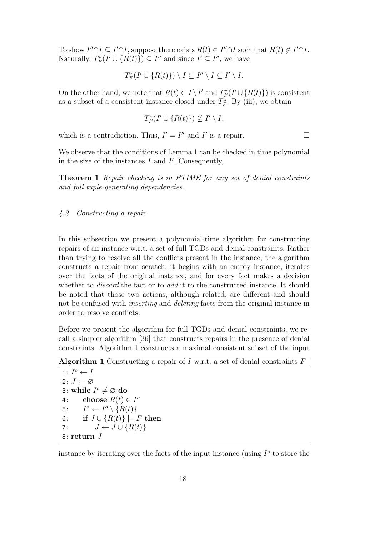To show  $I'' \cap I \subseteq I' \cap I$ , suppose there exists  $R(t) \in I'' \cap I$  such that  $R(t) \notin I' \cap I$ . Naturally,  $T_F^*(I' \cup \{R(t)\}) \subseteq I''$  and since  $I' \subseteq I''$ , we have

$$
T_F^*(I' \cup \{R(t)\}) \setminus I \subseteq I'' \setminus I \subseteq I' \setminus I.
$$

On the other hand, we note that  $R(t) \in I \setminus I'$  and  $T_F^*(I' \cup \{R(t)\})$  is consistent as a subset of a consistent instance closed under  $T_F^*$ . By (iii), we obtain

$$
T_F^*(I' \cup \{R(t)\}) \nsubseteq I' \setminus I,
$$

which is a contradiction. Thus,  $I' = I''$  and I' is a repair.

We observe that the conditions of Lemma 1 can be checked in time polynomial in the size of the instances  $I$  and  $I'$ . Consequently,

Theorem 1 Repair checking is in PTIME for any set of denial constraints and full tuple-generating dependencies.

### 4.2 Constructing a repair

In this subsection we present a polynomial-time algorithm for constructing repairs of an instance w.r.t. a set of full TGDs and denial constraints. Rather than trying to resolve all the conflicts present in the instance, the algorithm constructs a repair from scratch: it begins with an empty instance, iterates over the facts of the original instance, and for every fact makes a decision whether to *discard* the fact or to *add* it to the constructed instance. It should be noted that those two actions, although related, are different and should not be confused with *inserting* and *deleting* facts from the original instance in order to resolve conflicts.

Before we present the algorithm for full TGDs and denial constraints, we recall a simpler algorithm [36] that constructs repairs in the presence of denial constraints. Algorithm 1 constructs a maximal consistent subset of the input

| <b>Algorithm 1</b> Constructing a repair of I w.r.t. a set of denial constraints F |
|------------------------------------------------------------------------------------|
| $1: I^o \leftarrow I$                                                              |
| $2:J\leftarrow\varnothing$                                                         |
| 3: while $I^{\circ} \neq \emptyset$ do                                             |
| 4: choose $R(t) \in I^{\circ}$                                                     |
| 5: $I^o \leftarrow I^o \setminus \{R(t)\}\$                                        |
| 6: if $J \cup \{R(t)\}\models F$ then                                              |
| 7: $J \leftarrow J \cup \{R(t)\}\$                                                 |
| 8: return $J$                                                                      |

instance by iterating over the facts of the input instance (using  $I^o$  to store the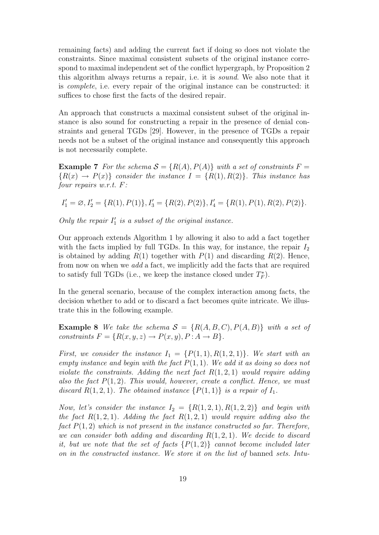remaining facts) and adding the current fact if doing so does not violate the constraints. Since maximal consistent subsets of the original instance correspond to maximal independent set of the conflict hypergraph, by Proposition 2 this algorithm always returns a repair, i.e. it is sound. We also note that it is complete, i.e. every repair of the original instance can be constructed: it suffices to chose first the facts of the desired repair.

An approach that constructs a maximal consistent subset of the original instance is also sound for constructing a repair in the presence of denial constraints and general TGDs [29]. However, in the presence of TGDs a repair needs not be a subset of the original instance and consequently this approach is not necessarily complete.

**Example 7** For the schema  $S = \{R(A), P(A)\}\$  with a set of constraints  $F =$  ${R(x) \rightarrow P(x)}$  consider the instance  $I = {R(1), R(2)}$ . This instance has four repairs w.r.t. F:

$$
I'_1 = \emptyset, I'_2 = \{R(1), P(1)\}, I'_3 = \{R(2), P(2)\}, I'_4 = \{R(1), P(1), R(2), P(2)\}.
$$

Only the repair  $I'_1$  is a subset of the original instance.

Our approach extends Algorithm 1 by allowing it also to add a fact together with the facts implied by full TGDs. In this way, for instance, the repair  $I_2$ is obtained by adding  $R(1)$  together with  $P(1)$  and discarding  $R(2)$ . Hence, from now on when we add a fact, we implicitly add the facts that are required to satisfy full TGDs (i.e., we keep the instance closed under  $T_F^*$ ).

In the general scenario, because of the complex interaction among facts, the decision whether to add or to discard a fact becomes quite intricate. We illustrate this in the following example.

**Example 8** We take the schema  $S = \{R(A, B, C), P(A, B)\}\$  with a set of constraints  $F = \{R(x, y, z) \rightarrow P(x, y), P : A \rightarrow B\}.$ 

First, we consider the instance  $I_1 = \{P(1,1), R(1,2,1)\}\.$  We start with an empty instance and begin with the fact  $P(1, 1)$ . We add it as doing so does not violate the constraints. Adding the next fact  $R(1, 2, 1)$  would require adding also the fact  $P(1, 2)$ . This would, however, create a conflict. Hence, we must discard  $R(1, 2, 1)$ . The obtained instance  $\{P(1, 1)\}\$ is a repair of  $I_1$ .

Now, let's consider the instance  $I_2 = \{R(1, 2, 1), R(1, 2, 2)\}\$  and begin with the fact  $R(1, 2, 1)$ . Adding the fact  $R(1, 2, 1)$  would require adding also the fact  $P(1, 2)$  which is not present in the instance constructed so far. Therefore, we can consider both adding and discarding  $R(1, 2, 1)$ . We decide to discard it, but we note that the set of facts  $\{P(1,2)\}\)$  cannot become included later on in the constructed instance. We store it on the list of banned sets. Intu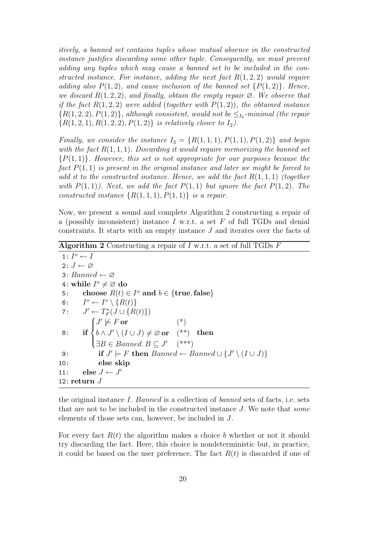itively, a banned set contains tuples whose mutual absence in the constructed instance justifies discarding some other tuple. Consequently, we must prevent adding any tuples which may cause a banned set to be included in the constructed instance. For instance, adding the next fact  $R(1, 2, 2)$  would require adding also  $P(1, 2)$ , and cause inclusion of the banned set  $\{P(1, 2)\}\$ . Hence, we discard  $R(1, 2, 2)$ , and finally, obtain the empty repair  $\emptyset$ . We observe that if the fact  $R(1, 2, 2)$  were added (together with  $P(1, 2)$ ), the obtained instance  ${R(1, 2, 2), P(1, 2)}$ , although consistent, would not be  $\leq_{I_2}$ -minimal (the repair  ${R(1, 2, 1), R(1, 2, 2), P(1, 2)}$  is relatively closer to  $I_2$ .

Finally, we consider the instance  $I_3 = \{R(1,1,1), P(1,1), P(1,2)\}\)$  and begin with the fact  $R(1,1,1)$ . Discarding it would require memorizing the banned set  ${P(1,1)}$ . However, this set is not appropriate for our purposes because the fact  $P(1,1)$  is present in the original instance and later we might be forced to add it to the constructed instance. Hence, we add the fact  $R(1,1,1)$  (together with  $P(1, 1)$ ). Next, we add the fact  $P(1, 1)$  but ignore the fact  $P(1, 2)$ . The constructed instance  $\{R(1, 1, 1), P(1, 1)\}\$ is a repair.

Now, we present a sound and complete Algorithm 2 constructing a repair of a (possibly inconsistent) instance I w.r.t. a set F of full TGDs and denial constraints. It starts with an empty instance J and iterates over the facts of

# **Algorithm 2** Constructing a repair of I w.r.t. a set of full TGDs  $F$

```
1: I^o \leftarrow I2: J \leftarrow \varnothing3: Banned \leftarrow \varnothing4: while I^o \neq \varnothing do
  5: choose R(t) \in I^o and b \in \{\text{true}, \text{false}\}\6:\overline{P}^{\circ} \leftarrow I^{\circ} \setminus \{R(t)\}7:\mathcal{I} \leftarrow T_F^*(J \cup \{R(t)\})8: if
               \sqrt{ }\int\overline{a}J' \not\models F or (*)b \wedge J' \setminus (I \cup J) \neq \varnothing or (*)\exists B \in \mathit{Banned}.\, B \subseteq J' \quad (***)then
  9: if J' \models F then Banned \leftarrow Banned \cup \{J' \setminus (I \cup J)\}10: else skip
11: else J \leftarrow J'12: return J
```
the original instance  $I$ . Banned is a collection of banned sets of facts, i.e. sets that are not to be included in the constructed instance J. We note that some elements of those sets can, however, be included in J.

For every fact  $R(t)$  the algorithm makes a choice b whether or not it should try discarding the fact. Here, this choice is nondeterministic but, in practice, it could be based on the user preference. The fact  $R(t)$  is discarded if one of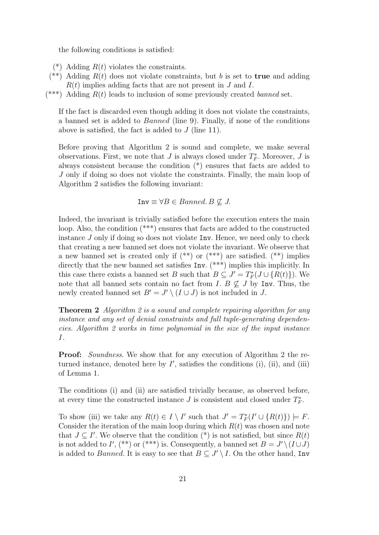the following conditions is satisfied:

- (\*) Adding  $R(t)$  violates the constraints.
- (\*\*) Adding  $R(t)$  does not violate constraints, but b is set to **true** and adding  $R(t)$  implies adding facts that are not present in J and I.
- $(***)$  Adding  $R(t)$  leads to inclusion of some previously created *banned* set.

If the fact is discarded even though adding it does not violate the constraints, a banned set is added to Banned (line 9). Finally, if none of the conditions above is satisfied, the fact is added to  $J$  (line 11).

Before proving that Algorithm 2 is sound and complete, we make several observations. First, we note that  $J$  is always closed under  $T_F^*$ . Moreover,  $J$  is always consistent because the condition (\*) ensures that facts are added to J only if doing so does not violate the constraints. Finally, the main loop of Algorithm 2 satisfies the following invariant:

$$
\text{Inv} \equiv \forall B \in Banned. \ B \nsubseteq J.
$$

Indeed, the invariant is trivially satisfied before the execution enters the main loop. Also, the condition (\*\*\*) ensures that facts are added to the constructed instance J only if doing so does not violate Inv. Hence, we need only to check that creating a new banned set does not violate the invariant. We observe that a new banned set is created only if (\*\*) or (\*\*\*) are satisfied. (\*\*) implies directly that the new banned set satisfies Inv. (\*\*\*) implies this implicitly. In this case there exists a banned set B such that  $B \subseteq J' = T_F^*(J \cup \{R(t)\})$ . We note that all banned sets contain no fact from I.  $B \not\subset J$  by Inv. Thus, the newly created banned set  $B' = J' \setminus (I \cup J)$  is not included in J.

**Theorem 2** Algorithm 2 is a sound and complete repairing algorithm for any instance and any set of denial constraints and full tuple-generating dependencies. Algorithm 2 works in time polynomial in the size of the input instance I.

**Proof:** Soundness. We show that for any execution of Algorithm 2 the returned instance, denoted here by  $I'$ , satisfies the conditions (i), (ii), and (iii) of Lemma 1.

The conditions (i) and (ii) are satisfied trivially because, as observed before, at every time the constructed instance  $J$  is consistent and closed under  $T_F^*$ .

To show (iii) we take any  $R(t) \in I \setminus I'$  such that  $J' = T_F^*(I' \cup \{R(t)\}) \models F$ . Consider the iteration of the main loop during which  $R(t)$  was chosen and note that  $J \subseteq I'$ . We observe that the condition (\*) is not satisfied, but since  $R(t)$ is not added to  $I'$ ,  $(**)$  or  $(***)$  is. Consequently, a banned set  $B = J' \setminus (I \cup J)$ is added to *Banned*. It is easy to see that  $B \subseteq J' \setminus I$ . On the other hand, Inv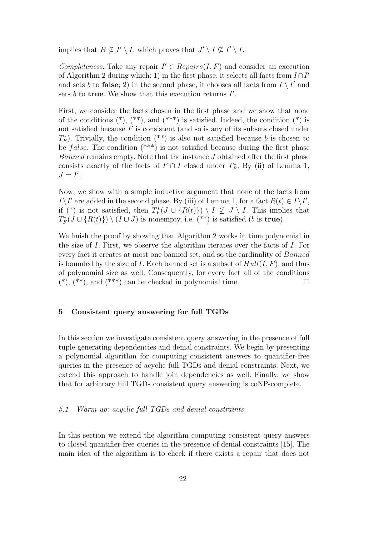implies that  $B \nsubseteq I' \setminus I$ , which proves that  $J' \setminus I \nsubseteq I' \setminus I$ .

Completeness. Take any repair  $I' \in Repairs(I, F)$  and consider an execution of Algorithm 2 during which: 1) in the first phase, it selects all facts from  $I \cap I'$ and sets b to **false**; 2) in the second phase, it chooses all facts from  $I \setminus I'$  and sets  $b$  to **true**. We show that this execution returns  $I'$ .

First, we consider the facts chosen in the first phase and we show that none of the conditions  $(*)$ ,  $(**)$ , and  $(***)$  is satisfied. Indeed, the condition  $(*)$  is not satisfied because  $I'$  is consistent (and so is any of its subsets closed under  $T_F^*$ ). Trivially, the condition  $(**)$  is also not satisfied because b is chosen to be *false*. The condition  $(*^{**})$  is not satisfied because during the first phase Banned remains empty. Note that the instance J obtained after the first phase consists exactly of the facts of  $I' \cap I$  closed under  $T_F^*$ . By (ii) of Lemma 1,  $J=I'.$ 

Now, we show with a simple inductive argument that none of the facts from  $I \backslash I'$  are added in the second phase. By (iii) of Lemma 1, for a fact  $R(t) \in I \backslash I'$ , if (\*) is not satisfied, then  $T_F^*(J \cup \{R(t)\}) \setminus I \not\subseteq J \setminus I$ . This implies that  $T_F^*(J \cup \{R(t)\}) \setminus (I \cup J)$  is nonempty, i.e. (\*\*) is satisfied (b is **true**).

We finish the proof by showing that Algorithm 2 works in time polynomial in the size of I. First, we observe the algorithm iterates over the facts of I. For every fact it creates at most one banned set, and so the cardinality of Banned is bounded by the size of I. Each banned set is a subset of  $Hull(I, F)$ , and thus of polynomial size as well. Consequently, for every fact all of the conditions  $(*), (**, \text{ and } (*^{**})$  can be checked in polynomial time.

# 5 Consistent query answering for full TGDs

In this section we investigate consistent query answering in the presence of full tuple-generating dependencies and denial constraints. We begin by presenting a polynomial algorithm for computing consistent answers to quantifier-free queries in the presence of acyclic full TGDs and denial constraints. Next, we extend this approach to handle join dependencies as well. Finally, we show that for arbitrary full TGDs consistent query answering is coNP-complete.

#### 5.1 Warm-up: acyclic full TGDs and denial constraints

In this section we extend the algorithm computing consistent query answers to closed quantifier-free queries in the presence of denial constraints [15]. The main idea of the algorithm is to check if there exists a repair that does not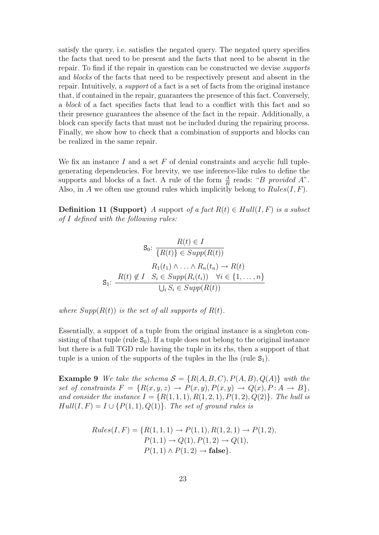satisfy the query, i.e. satisfies the negated query. The negated query specifies the facts that need to be present and the facts that need to be absent in the repair. To find if the repair in question can be constructed we devise supports and blocks of the facts that need to be respectively present and absent in the repair. Intuitively, a support of a fact is a set of facts from the original instance that, if contained in the repair, guarantees the presence of this fact. Conversely, a block of a fact specifies facts that lead to a conflict with this fact and so their presence guarantees the absence of the fact in the repair. Additionally, a block can specify facts that must not be included during the repairing process. Finally, we show how to check that a combination of supports and blocks can be realized in the same repair.

We fix an instance I and a set  $F$  of denial constraints and acyclic full tuplegenerating dependencies. For brevity, we use inference-like rules to define the supports and blocks of a fact. A rule of the form  $\frac{A}{B}$  reads: "B provided A". Also, in A we often use ground rules which implicitly belong to  $Rules(I, F)$ .

**Definition 11 (Support)** A support of a fact  $R(t) \in Hull(I, F)$  is a subset of I defined with the following rules:

$$
S_0: \frac{R(t) \in I}{\{R(t)\} \in \text{Supp}(R(t))}
$$

$$
R_1(t_1) \land \dots \land R_n(t_n) \to R(t)
$$

$$
S_1: \frac{R(t) \notin I \quad S_i \in \text{Supp}(R_i(t_i)) \quad \forall i \in \{1, \dots, n\}}{\bigcup_i S_i \in \text{Supp}(R(t))}
$$

where  $Supp(R(t))$  is the set of all supports of  $R(t)$ .

Essentially, a support of a tuple from the original instance is a singleton consisting of that tuple (rule  $S_0$ ). If a tuple does not belong to the original instance but there is a full TGD rule having the tuple in its rhs, then a support of that tuple is a union of the supports of the tuples in the lhs (rule  $S_1$ ).

**Example 9** We take the schema  $S = \{R(A, B, C), P(A, B), Q(A)\}\)$  with the set of constraints  $F = \{R(x, y, z) \rightarrow P(x, y), P(x, y) \rightarrow Q(x), P : A \rightarrow B\},\$ and consider the instance  $I = \{R(1, 1, 1), R(1, 2, 1), P(1, 2), Q(2)\}\.$  The hull is  $Hull(I, F) = I \cup \{P(1, 1), Q(1)\}.$  The set of ground rules is

$$
Rules(I, F) = \{R(1, 1, 1) \to P(1, 1), R(1, 2, 1) \to P(1, 2), P(1, 1) \to Q(1), P(1, 2) \to Q(1), P(1, 1) \land P(1, 2) \to \text{false}\}.
$$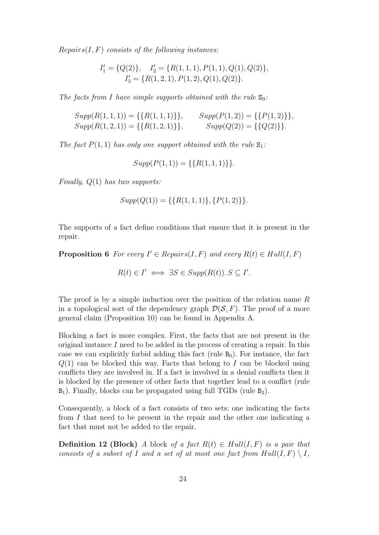$Repairs(I, F)$  consists of the following instances:

$$
I'_1 = \{Q(2)\}, \quad I'_2 = \{R(1, 1, 1), P(1, 1), Q(1), Q(2)\}, I'_3 = \{R(1, 2, 1), P(1, 2), Q(1), Q(2)\}.
$$

The facts from I have simple supports obtained with the rule  $S_0$ :

$$
Supp(R(1,1,1)) = \{\{R(1,1,1)\}\}, \qquad Supp(P(1,2)) = \{\{P(1,2)\}\},\
$$

$$
Supp(R(1,2,1)) = \{\{R(1,2,1)\}\}, \qquad Supp(Q(2)) = \{\{Q(2)\}\}.
$$

The fact  $P(1, 1)$  has only one support obtained with the rule  $S_1$ :

$$
Supp(P(1,1)) = \{\{R(1,1,1)\}\}.
$$

Finally,  $Q(1)$  has two supports:

$$
Supp(Q(1)) = \{\{R(1,1,1)\}, \{P(1,2)\}\}.
$$

The supports of a fact define conditions that ensure that it is present in the repair.

**Proposition 6** For every  $I' \in Repairs(I, F)$  and every  $R(t) \in Hull(I, F)$ 

$$
R(t) \in I' \iff \exists S \in Supp(R(t)). S \subseteq I'.
$$

The proof is by a simple induction over the position of the relation name  $R$ in a topological sort of the dependency graph  $\mathcal{D}(\mathcal{S}, F)$ . The proof of a more general claim (Proposition 10) can be found in Appendix A.

Blocking a fact is more complex. First, the facts that are not present in the original instance I need to be added in the process of creating a repair. In this case we can explicitly forbid adding this fact (rule  $B_0$ ). For instance, the fact  $Q(1)$  can be blocked this way. Facts that belong to I can be blocked using conflicts they are involved in. If a fact is involved in a denial conflicts then it is blocked by the presence of other facts that together lead to a conflict (rule  $B_1$ ). Finally, blocks can be propagated using full TGDs (rule  $B_2$ ).

Consequently, a block of a fact consists of two sets: one indicating the facts from I that need to be present in the repair and the other one indicating a fact that must not be added to the repair.

**Definition 12 (Block)** A block of a fact  $R(t) \in Hull(I, F)$  is a pair that consists of a subset of I and a set of at most one fact from  $Hull(I, F) \setminus I$ ,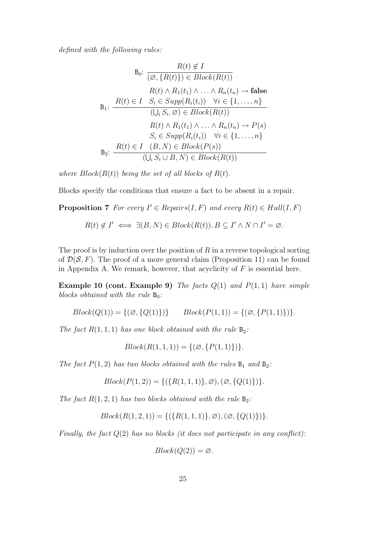defined with the following rules:

$$
B_0: \frac{R(t) \notin I}{(\emptyset, \{R(t)\}) \in Block(R(t))}
$$

$$
R(t) \land R_1(t_1) \land \dots \land R_n(t_n) \to \text{false}
$$

$$
B_1: \frac{R(t) \in I \quad S_i \in Supp(R_i(t_i)) \quad \forall i \in \{1, \dots, n\}}{(\bigcup_i S_i, \emptyset) \in Block(R(t))}
$$

$$
R(t) \land R_1(t_1) \land \dots \land R_n(t_n) \to P(s)
$$

$$
S_i \in Supp(R_i(t_i)) \quad \forall i \in \{1, \dots, n\}
$$

$$
B_2: \frac{R(t) \in I \quad (B, N) \in Block(P(s))}{(\bigcup_i S_i \cup B, N) \in Block(R(t))}
$$

where  $Block(R(t))$  being the set of all blocks of  $R(t)$ .

Blocks specify the conditions that ensure a fact to be absent in a repair.

**Proposition 7** For every  $I' \in Repairs(I, F)$  and every  $R(t) \in Hull(I, F)$ 

$$
R(t) \notin I' \iff \exists (B, N) \in Block(R(t)). \, B \subseteq I' \land N \cap I' = \varnothing.
$$

The proof is by induction over the position of  $R$  in a reverse topological sorting of  $\mathcal{D}(\mathcal{S}, F)$ . The proof of a more general claim (Proposition 11) can be found in Appendix A. We remark, however, that acyclicity of  $F$  is essential here.

**Example 10 (cont. Example 9)** The facts  $Q(1)$  and  $P(1, 1)$  have simple blocks obtained with the rule  $B_0$ :

$$
Block(Q(1)) = \{ (\emptyset, \{Q(1)\}) \} \qquad Block(P(1,1)) = \{ (\emptyset, \{P(1,1)\}) \}.
$$

The fact  $R(1,1,1)$  has one block obtained with the rule  $B_2$ :

$$
Block(R(1, 1, 1)) = \{ (\emptyset, \{ P(1, 1) \}) \}.
$$

The fact  $P(1, 2)$  has two blocks obtained with the rules  $B_1$  and  $B_2$ :

$$
Block(P(1,2)) = \{ (\{R(1,1,1)\}, \emptyset), (\emptyset, \{Q(1)\}) \}.
$$

The fact  $R(1, 2, 1)$  has two blocks obtained with the rule  $B_2$ :

$$
Block(R(1,2,1)) = \{ (\{R(1,1,1)\}, \emptyset), (\emptyset, \{Q(1)\}) \}.
$$

Finally, the fact  $Q(2)$  has no blocks (it does not participate in any conflict):

$$
Block(Q(2)) = \varnothing.
$$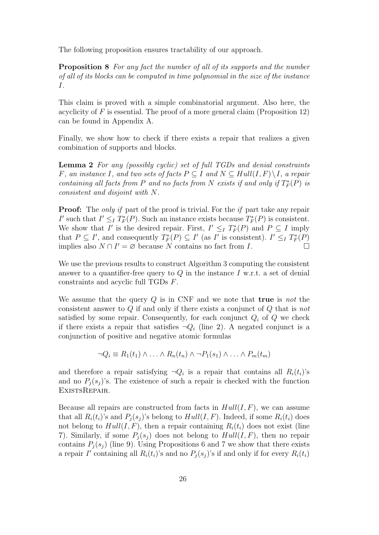The following proposition ensures tractability of our approach.

Proposition 8 For any fact the number of all of its supports and the number of all of its blocks can be computed in time polynomial in the size of the instance I.

This claim is proved with a simple combinatorial argument. Also here, the acyclicity of F is essential. The proof of a more general claim (Proposition 12) can be found in Appendix A.

Finally, we show how to check if there exists a repair that realizes a given combination of supports and blocks.

Lemma 2 For any (possibly cyclic) set of full TGDs and denial constraints F, an instance I, and two sets of facts  $P \subseteq I$  and  $N \subseteq Hull(I, F) \setminus I$ , a repair containing all facts from P and no facts from N exists if and only if  $T_F^*(P)$  is consistent and disjoint with N.

**Proof:** The *only if* part of the proof is trivial. For the *if* part take any repair I' such that  $I' \leq I T_F^*(P)$ . Such an instance exists because  $T_F^*(P)$  is consistent. We show that I' is the desired repair. First,  $I' \leq I T_F(P)$  and  $P \subseteq I$  imply that  $P \subseteq I'$ , and consequently  $T_F^*(P) \subseteq I'$  (as I' is consistent).  $I' \leq_I T_F^*(P)$ implies also  $N \cap I' = \emptyset$  because  $N$  contains no fact from  $I$ . □

We use the previous results to construct Algorithm 3 computing the consistent answer to a quantifier-free query to  $Q$  in the instance I w.r.t. a set of denial constraints and acyclic full TGDs F.

We assume that the query  $Q$  is in CNF and we note that **true** is not the consistent answer to  $Q$  if and only if there exists a conjunct of  $Q$  that is not satisfied by some repair. Consequently, for each conjunct  $Q_i$  of  $Q$  we check if there exists a repair that satisfies  $\neg Q_i$  (line 2). A negated conjunct is a conjunction of positive and negative atomic formulas

$$
\neg Q_i \equiv R_1(t_1) \land \dots \land R_n(t_n) \land \neg P_1(s_1) \land \dots \land P_m(t_m)
$$

and therefore a repair satisfying  $\neg Q_i$  is a repair that contains all  $R_i(t_i)$ 's and no  $P_j(s_j)$ 's. The existence of such a repair is checked with the function ExistsRepair.

Because all repairs are constructed from facts in  $Hull(I, F)$ , we can assume that all  $R_i(t_i)$ 's and  $P_i(s_i)$ 's belong to  $Hull(I, F)$ . Indeed, if some  $R_i(t_i)$  does not belong to  $Hull(I, F)$ , then a repair containing  $R_i(t_i)$  does not exist (line 7). Similarly, if some  $P_i(s_i)$  does not belong to  $Hull(I, F)$ , then no repair contains  $P_i(s_i)$  (line 9). Using Propositions 6 and 7 we show that there exists a repair I' containing all  $R_i(t_i)$ 's and no  $P_j(s_j)$ 's if and only if for every  $R_i(t_i)$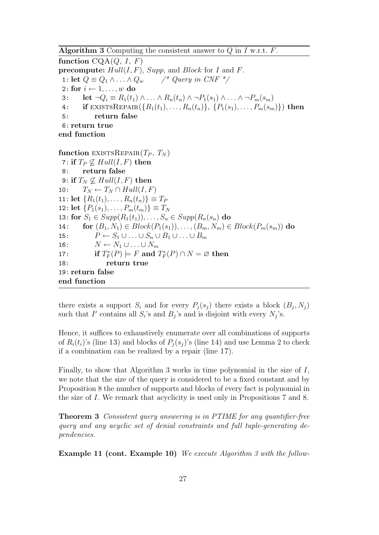**Algorithm 3** Computing the consistent answer to  $Q$  in  $I$  w.r.t.  $F$ .

function  $CQA(Q, I, F)$ **precompute:**  $Hull(I, F)$ ,  $Supp$ , and  $Block$  for I and F. 1: let  $Q \equiv Q_1 \wedge \ldots \wedge Q_w$  /\* Query in CNF \*/ 2: for  $i \leftarrow 1, \ldots, w$  do 3: let  $\neg Q_i \equiv R_1(t_1) \land \ldots \land R_n(t_n) \land \neg P_1(s_1) \land \ldots \land \neg P_m(s_m)$ 4: if EXISTSREPAIR $({R_1(t_1),...,R_n(t_n)}$ ,  ${P_1(s_1),...,P_m(s_m)}$  then 5: return false 6: return true end function function EXISTSREPAIR $(T_P, T_N)$ 7: if  $T_P \not\subseteq Hull(I, F)$  then 8: return false 9: if  $T_N \nsubseteq Hull(I, F)$  then 10:  $T_N \leftarrow T_N \cap Hull(I, F)$ 11: let  $\{R_1(t_1), \ldots, R_n(t_n)\} \equiv T_P$ 12: let  $\{P_1(s_1), \ldots, P_m(t_m)\} \equiv T_N$ 13: for  $S_1 \in Supp(R_1(t_1)), \ldots, S_n \in Supp(R_n(s_n))$  do 14: for  $(B_1, N_1) \in Block(P_1(s_1)), \ldots, (B_m, N_m) \in Block(P_m(s_m))$  do 15:  $P \leftarrow S_1 \cup \ldots \cup S_n \cup B_1 \cup \ldots \cup B_m$ 16:  $N \leftarrow N_1 \cup \ldots \cup N_m$ 17: if  $T_F^*(P) \models F$  and  $T_F^*(P) \cap N = \emptyset$  then 18: return true

19: return false end function

there exists a support  $S_i$  and for every  $P_j(s_j)$  there exists a block  $(B_j, N_j)$ such that I' contains all  $S_i$ 's and  $B_j$ 's and is disjoint with every  $N_j$ 's.

Hence, it suffices to exhaustively enumerate over all combinations of supports of  $R_i(t_i)$ 's (line 13) and blocks of  $P_i(s_i)$ 's (line 14) and use Lemma 2 to check if a combination can be realized by a repair (line 17).

Finally, to show that Algorithm 3 works in time polynomial in the size of I, we note that the size of the query is considered to be a fixed constant and by Proposition 8 the number of supports and blocks of every fact is polynomial in the size of I. We remark that acyclicity is used only in Propositions 7 and 8.

Theorem 3 Consistent query answering is in PTIME for any quantifier-free query and any acyclic set of denial constraints and full tuple-generating dependencies.

Example 11 (cont. Example 10) We execute Algorithm 3 with the follow-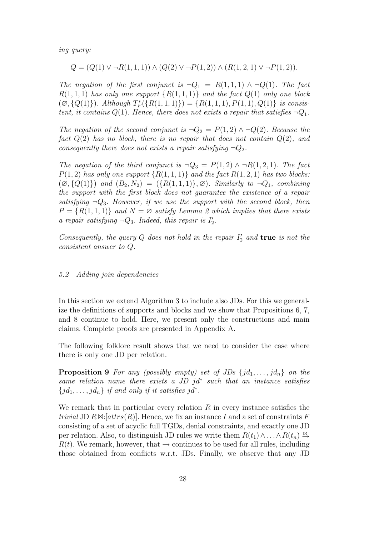ing query:

$$
Q = (Q(1) \lor \neg R(1,1,1)) \land (Q(2) \lor \neg P(1,2)) \land (R(1,2,1) \lor \neg P(1,2)).
$$

The negation of the first conjunct is  $\neg Q_1 = R(1,1,1) \wedge \neg Q(1)$ . The fact  $R(1,1,1)$  has only one support  $\{R(1,1,1)\}\$  and the fact  $Q(1)$  only one block  $(\emptyset, \{Q(1)\})$ . Although  $T_F^*\{\{R(1, 1, 1)\}\} = \{R(1, 1, 1), P(1, 1), Q(1)\}\$ is consistent, it contains  $Q(1)$ . Hence, there does not exists a repair that satisfies  $\neg Q_1$ .

The negation of the second conjunct is  $\neg Q_2 = P(1,2) \wedge \neg Q(2)$ . Because the fact  $Q(2)$  has no block, there is no repair that does not contain  $Q(2)$ , and consequently there does not exists a repair satisfying  $\neg Q_2$ .

The negation of the third conjunct is  $\neg Q_3 = P(1,2) \land \neg R(1,2,1)$ . The fact  $P(1, 2)$  has only one support  $\{R(1, 1, 1)\}\$  and the fact  $R(1, 2, 1)$  has two blocks:  $(\emptyset, \{Q(1)\})$  and  $(B_2, N_2) = (\{R(1, 1, 1)\}, \emptyset)$ . Similarly to  $\neg Q_1$ , combining the support with the first block does not guarantee the existence of a repair satisfying  $\neg Q_3$ . However, if we use the support with the second block, then  $P = \{R(1,1,1)\}\$ and  $N = \emptyset$  satisfy Lemma 2 which implies that there exists a repair satisfying  $\neg Q_3$ . Indeed, this repair is  $I'_2$ .

Consequently, the query  $Q$  does not hold in the repair  $I'_2$  and **true** is not the consistent answer to Q.

### 5.2 Adding join dependencies

In this section we extend Algorithm 3 to include also JDs. For this we generalize the definitions of supports and blocks and we show that Propositions 6, 7, and 8 continue to hold. Here, we present only the constructions and main claims. Complete proofs are presented in Appendix A.

The following folklore result shows that we need to consider the case where there is only one JD per relation.

**Proposition 9** For any (possibly empty) set of JDs  $\{jd_1, \ldots, jd_n\}$  on the same relation name there exists a JD  $jd^*$  such that an instance satisfies  ${jd_1, \ldots, jd_n}$  if and only if it satisfies jd\*.

We remark that in particular every relation  $R$  in every instance satisfies the trivial JD  $R \bowtie: [attrs(R)]$ . Hence, we fix an instance I and a set of constraints F consisting of a set of acyclic full TGDs, denial constraints, and exactly one JD per relation. Also, to distinguish JD rules we write them  $R(t_1) \wedge \ldots \wedge R(t_n) \stackrel{\bowtie}{\to} \cdots$  $R(t)$ . We remark, however, that  $\rightarrow$  continues to be used for all rules, including those obtained from conflicts w.r.t. JDs. Finally, we observe that any JD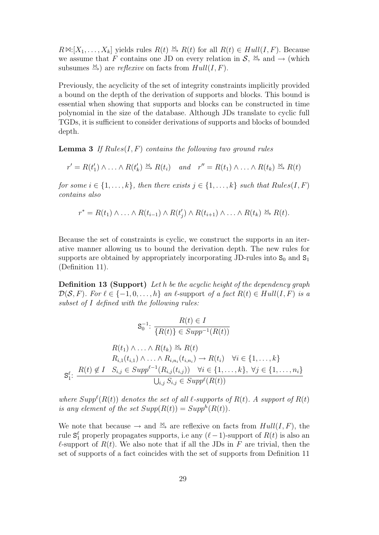$R \Join [X_1, \ldots, X_k]$  yields rules  $R(t) \stackrel{\bowtie}{\rightarrow} R(t)$  for all  $R(t) \in Hull(I, F)$ . Because we assume that F contains one JD on every relation in  $\mathcal{S}, \stackrel{\bowtie}{\to}$  and  $\to$  (which subsumes  $\stackrel{\bowtie}{\rightarrow}$  are *reflexive* on facts from  $Hull(I, F)$ .

Previously, the acyclicity of the set of integrity constraints implicitly provided a bound on the depth of the derivation of supports and blocks. This bound is essential when showing that supports and blocks can be constructed in time polynomial in the size of the database. Although JDs translate to cyclic full TGDs, it is sufficient to consider derivations of supports and blocks of bounded depth.

**Lemma 3** If  $Rules(I, F)$  contains the following two ground rules

$$
r' = R(t'_1) \wedge \ldots \wedge R(t'_k) \stackrel{\bowtie}{\rightarrow} R(t_i) \quad and \quad r'' = R(t_1) \wedge \ldots \wedge R(t_k) \stackrel{\bowtie}{\rightarrow} R(t)
$$

for some  $i \in \{1, \ldots, k\}$ , then there exists  $j \in \{1, \ldots, k\}$  such that  $Rules(I, F)$ contains also

$$
r^* = R(t_1) \wedge \ldots \wedge R(t_{i-1}) \wedge R(t'_j) \wedge R(t_{i+1}) \wedge \ldots \wedge R(t_k) \stackrel{\bowtie}{\rightarrow} R(t).
$$

Because the set of constraints is cyclic, we construct the supports in an iterative manner allowing us to bound the derivation depth. The new rules for supports are obtained by appropriately incorporating JD-rules into  $S_0$  and  $S_1$ (Definition 11).

Definition 13 (Support) Let h be the acyclic height of the dependency graph  $\mathcal{D}(\mathcal{S}, F)$ . For  $\ell \in \{-1, 0, \ldots, h\}$  an  $\ell$ -support of a fact  $R(t) \in Hull(I, F)$  is a subset of I defined with the following rules:

$$
S_0^{-1}: \frac{R(t) \in I}{\{R(t)\} \in Supp^{-1}(R(t))}
$$

$$
R(t_1) \wedge \ldots \wedge R(t_k) \xrightarrow{\bowtie} R(t)
$$

$$
R_{i,1}(t_{i,1}) \wedge \ldots \wedge R_{i,n_i}(t_{i,n_i}) \rightarrow R(t_i) \quad \forall i \in \{1, \ldots, k\}
$$

$$
S_1^{\ell}: \frac{R(t) \notin I \quad S_{i,j} \in Supp^{\ell-1}(R_{i,j}(t_{i,j})) \quad \forall i \in \{1, \ldots, k\}, \ \forall j \in \{1, \ldots, n_i\}}{\bigcup_{i,j} S_{i,j} \in Supp^{\ell}(R(t))}
$$

where  $Supp^{\ell}(R(t))$  denotes the set of all  $\ell$ -supports of  $R(t)$ . A support of  $R(t)$ is any element of the set  $Supp(R(t)) = Supp^{h}(R(t)).$ 

We note that because  $\rightarrow$  and  $\stackrel{\bowtie}{\rightarrow}$  are reflexive on facts from  $Hull(I, F)$ , the rule  $S_1^{\ell}$  properly propagates supports, i.e any  $(\ell-1)$ -support of  $R(t)$  is also an  $\ell$ -support of  $R(t)$ . We also note that if all the JDs in F are trivial, then the set of supports of a fact coincides with the set of supports from Definition 11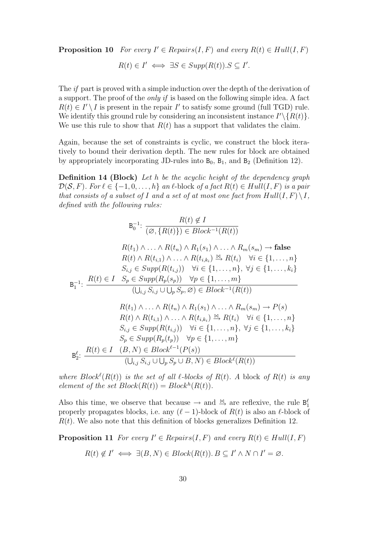**Proposition 10** For every  $I' \in Repairs(I, F)$  and every  $R(t) \in Hull(I, F)$ 

 $R(t) \in I' \iff \exists S \in Supp(R(t)). S \subseteq I'.$ 

The if part is proved with a simple induction over the depth of the derivation of a support. The proof of the *only if* is based on the following simple idea. A fact  $R(t) \in I' \setminus I$  is present in the repair  $I'$  to satisfy some ground (full TGD) rule. We identify this ground rule by considering an inconsistent instance  $I'\setminus\{R(t)\}.$ We use this rule to show that  $R(t)$  has a support that validates the claim.

Again, because the set of constraints is cyclic, we construct the block iteratively to bound their derivation depth. The new rules for block are obtained by appropriately incorporating JD-rules into  $B_0$ ,  $B_1$ , and  $B_2$  (Definition 12).

Definition 14 (Block) Let h be the acyclic height of the dependency graph  $\mathcal{D}(\mathcal{S}, F)$ . For  $\ell \in \{-1, 0, \ldots, h\}$  an  $\ell$ -block of a fact  $R(t) \in Hull(I, F)$  is a pair that consists of a subset of I and a set of at most one fact from  $Hull(I, F) \setminus I$ , defined with the following rules:

$$
B_0^{-1}: \frac{R(t) \notin I}{(\emptyset, \{R(t)\}) \in Block^{-1}(R(t))}
$$
  
\n
$$
R(t_1) \land \dots \land R(t_n) \land R_1(s_1) \land \dots \land R_m(s_m) \rightarrow \text{false}
$$
  
\n
$$
R(t) \land R(t_{i,1}) \land \dots \land R(t_{i,k_i}) \stackrel{\bowtie}{\rightarrow} R(t_i) \quad \forall i \in \{1, \dots, n\}
$$
  
\n
$$
S_{i,j} \in Supp(R(t_{i,j})) \quad \forall i \in \{1, \dots, n\}, \forall j \in \{1, \dots, k_i\}
$$
  
\n
$$
B_1^{-1}: \frac{R(t) \in I \quad S_p \in Supp(R_p(s_p)) \quad \forall p \in \{1, \dots, m\}}{\left(\bigcup_{i,j} S_{i,j} \cup \bigcup_p S_p, \emptyset\right) \in Block^{-1}(R(t))}
$$
  
\n
$$
R(t_1) \land \dots \land R(t_n) \land R_1(s_1) \land \dots \land R_m(s_m) \rightarrow P(s)
$$
  
\n
$$
R(t) \land R(t_{i,1}) \land \dots \land R(t_{i,k_i}) \stackrel{\bowtie}{\rightarrow} R(t_i) \quad \forall i \in \{1, \dots, n\}
$$
  
\n
$$
S_{i,j} \in Supp(R(t_{i,j})) \quad \forall i \in \{1, \dots, n\}, \forall j \in \{1, \dots, k_i\}
$$
  
\n
$$
S_p \in Supp(R_p(t_p)) \quad \forall p \in \{1, \dots, m\}
$$
  
\n
$$
B_2^{\ell}: \frac{R(t) \in I \quad (B, N) \in Block^{\ell-1}(P(s))}{\left(\bigcup_{i,j} S_{i,j} \cup \bigcup_p S_p \cup B, N\right) \in Block^{\ell}(R(t))}
$$

where  $Block^{\ell}(R(t))$  is the set of all  $\ell$ -blocks of  $R(t)$ . A block of  $R(t)$  is any element of the set  $Block(R(t)) = Block^h(R(t)).$ 

Also this time, we observe that because  $\rightarrow$  and  $\stackrel{\bowtie}{\rightarrow}$  are reflexive, the rule  $B_1^{\ell}$ properly propagates blocks, i.e. any  $(\ell-1)$ -block of  $R(t)$  is also an  $\ell$ -block of  $R(t)$ . We also note that this definition of blocks generalizes Definition 12.

**Proposition 11** For every  $I' \in Repairs(I, F)$  and every  $R(t) \in Hull(I, F)$ 

$$
R(t) \notin I' \iff \exists (B, N) \in Block(R(t)). \ B \subseteq I' \land N \cap I' = \emptyset.
$$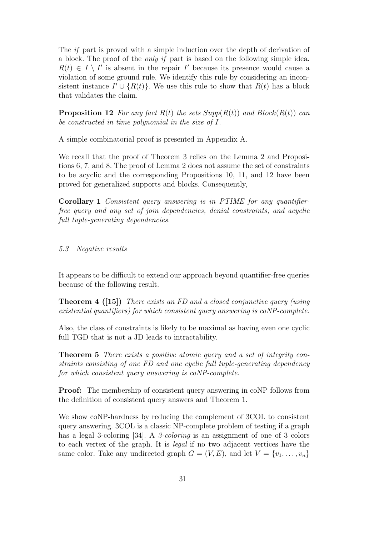The if part is proved with a simple induction over the depth of derivation of a block. The proof of the only if part is based on the following simple idea.  $R(t) \in I \setminus I'$  is absent in the repair I' because its presence would cause a violation of some ground rule. We identify this rule by considering an inconsistent instance  $I' \cup \{R(t)\}\$ . We use this rule to show that  $R(t)$  has a block that validates the claim.

**Proposition 12** For any fact  $R(t)$  the sets  $Supp(R(t))$  and  $Block(R(t))$  can be constructed in time polynomial in the size of I.

A simple combinatorial proof is presented in Appendix A.

We recall that the proof of Theorem 3 relies on the Lemma 2 and Propositions 6, 7, and 8. The proof of Lemma 2 does not assume the set of constraints to be acyclic and the corresponding Propositions 10, 11, and 12 have been proved for generalized supports and blocks. Consequently,

Corollary 1 Consistent query answering is in PTIME for any quantifierfree query and any set of join dependencies, denial constraints, and acyclic full tuple-generating dependencies.

#### 5.3 Negative results

It appears to be difficult to extend our approach beyond quantifier-free queries because of the following result.

Theorem 4 ([15]) There exists an FD and a closed conjunctive query (using existential quantifiers) for which consistent query answering is coNP-complete.

Also, the class of constraints is likely to be maximal as having even one cyclic full TGD that is not a JD leads to intractability.

Theorem 5 There exists a positive atomic query and a set of integrity constraints consisting of one FD and one cyclic full tuple-generating dependency for which consistent query answering is coNP-complete.

**Proof:** The membership of consistent query answering in coNP follows from the definition of consistent query answers and Theorem 1.

We show coNP-hardness by reducing the complement of 3COL to consistent query answering. 3COL is a classic NP-complete problem of testing if a graph has a legal 3-coloring [34]. A 3-coloring is an assignment of one of 3 colors to each vertex of the graph. It is legal if no two adjacent vertices have the same color. Take any undirected graph  $G = (V, E)$ , and let  $V = \{v_1, \ldots, v_n\}$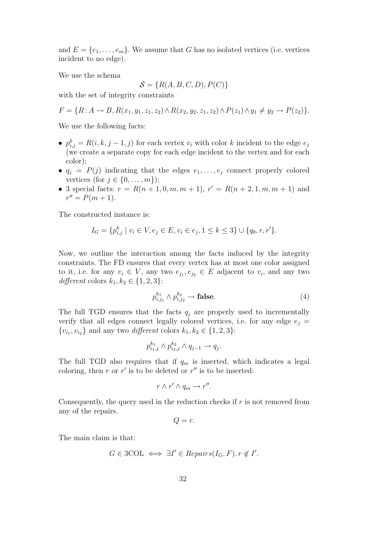and  $E = \{e_1, \ldots, e_m\}$ . We assume that G has no isolated vertices (i.e. vertices incident to no edge).

We use the schema

$$
\mathcal{S} = \{R(A, B, C, D), P(C)\}
$$

with the set of integrity constraints

 $F = \{R: A \rightarrow B, R(x_1, y_1, z_1, z_2) \land R(x_2, y_2, z_1, z_2) \land P(z_1) \land y_1 \neq y_2 \rightarrow P(z_2)\}.$ 

We use the following facts:

- $p_{i,j}^k = R(i, k, j-1, j)$  for each vertex  $v_i$  with color k incident to the edge  $e_j$ (we create a separate copy for each edge incident to the vertex and for each color);
- $q_i = P(j)$  indicating that the edges  $e_1, \ldots, e_i$  connect properly colored vertices (for  $j \in \{0, \ldots, m\}$ );
- 3 special facts:  $r = R(n + 1, 0, m, m + 1), r' = R(n + 2, 1, m, m + 1)$  and  $r'' = P(m + 1).$

The constructed instance is:

$$
I_G = \{ p_{i,j}^k \mid v_i \in V, e_j \in E, v_i \in e_j, 1 \le k \le 3 \} \cup \{ q_0, r, r' \}.
$$

Now, we outline the interaction among the facts induced by the integrity constraints. The FD ensures that every vertex has at most one color assigned to it, i.e. for any  $v_i \in V$ , any two  $e_{j_1}, e_{j_2} \in E$  adjacent to  $v_i$ , and any two different colors  $k_1, k_2 \in \{1, 2, 3\}$ :

$$
p_{i,j_1}^{k_1} \wedge p_{i,j_2}^{k_2} \longrightarrow \textbf{false.} \tag{4}
$$

The full TGD ensures that the facts  $q_i$  are properly used to incrementally verify that all edges connect legally colored vertices, i.e. for any edge  $e_i =$  $\{v_{i_1}, v_{i_2}\}\$  and any two *different* colors  $k_1, k_2 \in \{1, 2, 3\}$ :

$$
p_{i_1,j}^{k_1} \wedge p_{i_2,j}^{k_2} \wedge q_{j-1} \to q_j.
$$

The full TGD also requires that if  $q_m$  is inserted, which indicates a legal coloring, then r or  $r'$  is to be deleted or  $r''$  is to be inserted:

$$
r \wedge r' \wedge q_m \to r''.
$$

Consequently, the query used in the reduction checks if  $r$  is not removed from any of the repairs.

$$
Q=r.
$$

The main claim is that:

$$
G \in 3\text{COL} \iff \exists I' \in Repairs(I_G, F) \text{. } r \notin I'.
$$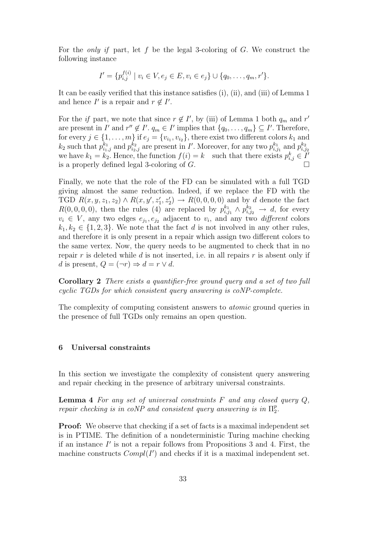For the *only if* part, let f be the legal 3-coloring of G. We construct the following instance

$$
I' = \{p_{i,j}^{f(i)} \mid v_i \in V, e_j \in E, v_i \in e_j\} \cup \{q_0, \ldots, q_m, r'\}.
$$

It can be easily verified that this instance satisfies (i), (ii), and (iii) of Lemma 1 and hence  $I'$  is a repair and  $r \notin I'$ .

For the *if* part, we note that since  $r \notin I'$ , by (iii) of Lemma 1 both  $q_m$  and  $r'$ are present in I' and  $r'' \notin I'$ .  $q_m \in I'$  implies that  $\{q_0, \ldots, q_m\} \subseteq I'$ . Therefore, for every  $j \in \{1, \ldots, m\}$  if  $e_j = \{v_{i_1}, v_{i_2}\}$ , there exist two different colors  $k_1$  and  $k_2$  such that  $p_{i_1,j}^{k_1}$  and  $p_{i_2,j}^{k_2}$  are present in I'. Moreover, for any two  $p_{i,j_1}^{k_1}$  and  $p_{i,j_2}^{k_2}$ we have  $k_1 = k_2$ . Hence, the function  $f(i) = k$  such that there exists  $p_{i,j}^k \in I'$ is a properly defined legal 3-coloring of G.

Finally, we note that the role of the FD can be simulated with a full TGD giving almost the same reduction. Indeed, if we replace the FD with the TGD  $R(x, y, z_1, z_2) \wedge R(x, y', z_1', z_2') \rightarrow R(0, 0, 0, 0)$  and by d denote the fact  $R(0,0,0,0)$ , then the rules (4) are replaced by  $p_{i,j_1}^{k_1} \wedge p_{i,j_2}^{k_2} \rightarrow d$ , for every  $v_i \in V$ , any two edges  $e_{j_1}, e_{j_2}$  adjacent to  $v_i$ , and any two *different* colors  $k_1, k_2 \in \{1, 2, 3\}$ . We note that the fact d is not involved in any other rules, and therefore it is only present in a repair which assign two different colors to the same vertex. Now, the query needs to be augmented to check that in no repair r is deleted while d is not inserted, i.e. in all repairs r is absent only if d is present,  $Q = (\neg r) \Rightarrow d = r \vee d$ .

Corollary 2 There exists a quantifier-free ground query and a set of two full cyclic TGDs for which consistent query answering is coNP-complete.

The complexity of computing consistent answers to atomic ground queries in the presence of full TGDs only remains an open question.

### 6 Universal constraints

In this section we investigate the complexity of consistent query answering and repair checking in the presence of arbitrary universal constraints.

**Lemma 4** For any set of universal constraints  $F$  and any closed query  $Q$ , repair checking is in coNP and consistent query answering is in  $\Pi_2^p$  $\frac{p}{2}$ .

**Proof:** We observe that checking if a set of facts is a maximal independent set is in PTIME. The definition of a nondeterministic Turing machine checking if an instance  $I'$  is not a repair follows from Propositions 3 and 4. First, the machine constructs  $Compl(I')$  and checks if it is a maximal independent set.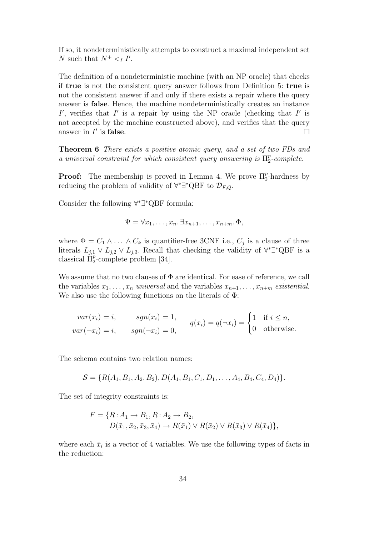If so, it nondeterministically attempts to construct a maximal independent set N such that  $N^+ <_I I'$ .

The definition of a nondeterministic machine (with an NP oracle) that checks if true is not the consistent query answer follows from Definition 5: true is not the consistent answer if and only if there exists a repair where the query answer is false. Hence, the machine nondeterministically creates an instance  $I'$ , verifies that  $I'$  is a repair by using the NP oracle (checking that  $I'$  is not accepted by the machine constructed above), and verifies that the query answer in  $I'$ is false.  $\Box$ 

Theorem 6 There exists a positive atomic query, and a set of two FDs and a universal constraint for which consistent query answering is  $\Pi_2^p$  $\frac{p}{2}$ -complete.

**Proof:** The membership is proved in Lemma 4. We prove  $\Pi_2^p$ -hardness by reducing the problem of validity of  $\forall^* \exists^* \text{QBF}$  to  $\mathcal{D}_{F,Q}$ .

Consider the following ∀ ∗∃ <sup>∗</sup>QBF formula:

$$
\Psi = \forall x_1, \dots, x_n. \exists x_{n+1}, \dots, x_{n+m}. \Phi,
$$

where  $\Phi = C_1 \wedge \ldots \wedge C_k$  is quantifier-free 3CNF i.e.,  $C_j$  is a clause of three literals  $L_{j,1} \vee L_{j,2} \vee L_{j,3}$ . Recall that checking the validity of  $\forall^* \exists^* \text{QBF}$  is a classical  $\Pi_2^p$ -complete problem [34].

We assume that no two clauses of  $\Phi$  are identical. For ease of reference, we call the variables  $x_1, \ldots, x_n$  universal and the variables  $x_{n+1}, \ldots, x_{n+m}$  existential. We also use the following functions on the literals of Φ:

$$
var(x_i) = i, \qquad sgn(x_i) = 1, var(\neg x_i) = i, \qquad sgn(\neg x_i) = 0, q(x_i) = q(\neg x_i) = \begin{cases} 1 & \text{if } i \leq n, \\ 0 & \text{otherwise.} \end{cases}
$$

The schema contains two relation names:

$$
S = \{R(A_1, B_1, A_2, B_2), D(A_1, B_1, C_1, D_1, \ldots, A_4, B_4, C_4, D_4)\}.
$$

The set of integrity constraints is:

$$
F = \{R: A_1 \to B_1, R: A_2 \to B_2, D(\bar{x}_1, \bar{x}_2, \bar{x}_3, \bar{x}_4) \to R(\bar{x}_1) \lor R(\bar{x}_2) \lor R(\bar{x}_3) \lor R(\bar{x}_4)\},
$$

where each  $\bar{x}_i$  is a vector of 4 variables. We use the following types of facts in the reduction: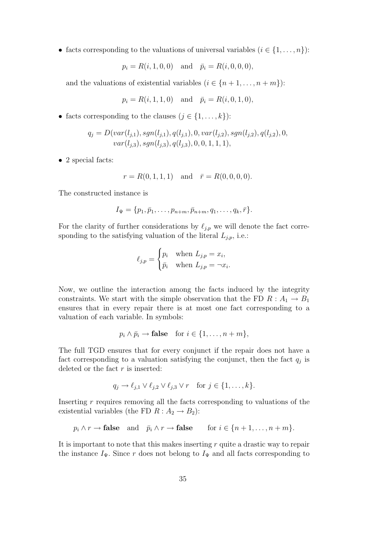• facts corresponding to the valuations of universal variables  $(i \in \{1, \ldots, n\})$ :

$$
p_i = R(i, 1, 0, 0)
$$
 and  $\bar{p}_i = R(i, 0, 0, 0),$ 

and the valuations of existential variables  $(i \in \{n+1, \ldots, n+m\})$ :

$$
p_i = R(i, 1, 1, 0)
$$
 and  $\bar{p}_i = R(i, 0, 1, 0)$ ,

• facts corresponding to the clauses  $(j \in \{1, \ldots, k\})$ :

$$
q_j = D(var(l_{j,1}), sgn(l_{j,1}), q(l_{j,1}), 0, var(l_{j,2}), sgn(l_{j,2}), q(l_{j,2}), 0, var(l_{j,3}), sgn(l_{j,3}), q(l_{j,3}), 0, 0, 1, 1, 1),
$$

• 2 special facts:

$$
r = R(0, 1, 1, 1)
$$
 and  $\bar{r} = R(0, 0, 0, 0).$ 

The constructed instance is

$$
I_{\Psi} = \{p_1, \bar{p}_1, \ldots, p_{n+m}, \bar{p}_{n+m}, q_1, \ldots, q_k, \bar{r}\}.
$$

For the clarity of further considerations by  $\ell_{j,p}$  we will denote the fact corresponding to the satisfying valuation of the literal  $L_{j,p}$ , i.e.:

$$
\ell_{j,p} = \begin{cases} p_i & \text{when } L_{j,p} = x_i, \\ \bar{p}_i & \text{when } L_{j,p} = \neg x_i. \end{cases}
$$

Now, we outline the interaction among the facts induced by the integrity constraints. We start with the simple observation that the FD  $R : A_1 \rightarrow B_1$ ensures that in every repair there is at most one fact corresponding to a valuation of each variable. In symbols:

$$
p_i \wedge \bar{p}_i \rightarrow \textbf{false} \text{ for } i \in \{1, \ldots, n+m\},\
$$

The full TGD ensures that for every conjunct if the repair does not have a fact corresponding to a valuation satisfying the conjunct, then the fact  $q_j$  is deleted or the fact  $r$  is inserted:

$$
q_j \to \ell_{j,1} \vee \ell_{j,2} \vee \ell_{j,3} \vee r \quad \text{for } j \in \{1, \ldots, k\}.
$$

Inserting r requires removing all the facts corresponding to valuations of the existential variables (the FD  $R: A_2 \rightarrow B_2$ ):

$$
p_i \wedge r \to \textbf{false} \text{ and } \bar{p}_i \wedge r \to \textbf{false} \text{ for } i \in \{n+1,\ldots,n+m\}.
$$

It is important to note that this makes inserting  $r$  quite a drastic way to repair the instance  $I_{\Psi}$ . Since r does not belong to  $I_{\Psi}$  and all facts corresponding to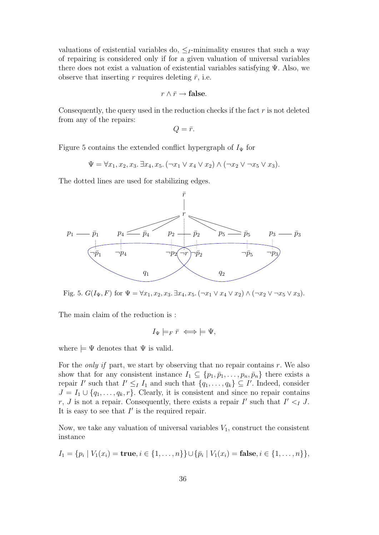valuations of existential variables do,  $\leq_I$ -minimality ensures that such a way of repairing is considered only if for a given valuation of universal variables there does not exist a valuation of existential variables satisfying Ψ. Also, we observe that inserting r requires deleting  $\bar{r}$ , i.e.

$$
r \wedge \bar{r} \to \mathbf{false}.
$$

Consequently, the query used in the reduction checks if the fact r is not deleted from any of the repairs:

$$
Q=\bar{r}.
$$

Figure 5 contains the extended conflict hypergraph of  $I_{\Psi}$  for

$$
\Psi = \forall x_1, x_2, x_3. \exists x_4, x_5. (\neg x_1 \lor x_4 \lor x_2) \land (\neg x_2 \lor \neg x_5 \lor x_3).
$$

The dotted lines are used for stabilizing edges.



Fig. 5.  $G(I_{\Psi}, F)$  for  $\Psi = \forall x_1, x_2, x_3$ .  $\exists x_4, x_5$ .  $(\neg x_1 \lor x_4 \lor x_2) \land (\neg x_2 \lor \neg x_5 \lor x_3)$ .

The main claim of the reduction is :

$$
I_{\Psi} \models_F \bar{r} \iff \models \Psi,
$$

where  $\models \Psi$  denotes that  $\Psi$  is valid.

For the *only if* part, we start by observing that no repair contains  $r$ . We also show that for any consistent instance  $I_1 \subseteq \{p_1, \bar{p}_1, \ldots, p_n, \bar{p}_n\}$  there exists a repair I' such that  $I' \leq I_1$  and such that  $\{q_1, \ldots, q_k\} \subseteq I'$ . Indeed, consider  $J = I_1 \cup \{q_1, \ldots, q_k, r\}.$  Clearly, it is consistent and since no repair contains r, *J* is not a repair. Consequently, there exists a repair  $I'$  such that  $I' < I$ . It is easy to see that  $I'$  is the required repair.

Now, we take any valuation of universal variables  $V_1$ , construct the consistent instance

$$
I_1 = \{p_i \mid V_1(x_i) = \textbf{true}, i \in \{1, ..., n\}\} \cup \{\bar{p}_i \mid V_1(x_i) = \textbf{false}, i \in \{1, ..., n\}\},
$$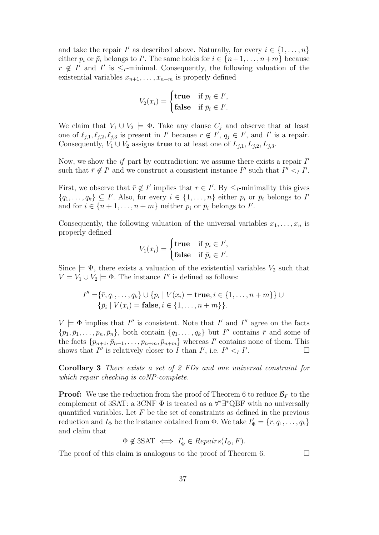and take the repair I' as described above. Naturally, for every  $i \in \{1, \ldots, n\}$ either  $p_i$  or  $\bar{p}_i$  belongs to I'. The same holds for  $i \in \{n+1,\ldots,n+m\}$  because  $r \notin I'$  and I' is  $\leq_I$ -minimal. Consequently, the following valuation of the existential variables  $x_{n+1}, \ldots, x_{n+m}$  is properly defined

$$
V_2(x_i) = \begin{cases} \textbf{true} & \text{if } p_i \in I',\\ \textbf{false} & \text{if } \bar{p}_i \in I'. \end{cases}
$$

We claim that  $V_1 \cup V_2 \models \Phi$ . Take any clause  $C_i$  and observe that at least one of  $\ell_{j,1}, \ell_{j,2}, \ell_{j,3}$  is present in I' because  $r \notin I'$ ,  $q_j \in I'$ , and I' is a repair. Consequently,  $V_1 \cup V_2$  assigns **true** to at least one of  $L_{j,1}, L_{j,2}, L_{j,3}$ .

Now, we show the *if* part by contradiction: we assume there exists a repair  $I'$ such that  $\bar{r} \notin I'$  and we construct a consistent instance  $I''$  such that  $I'' < I'$ .

First, we observe that  $\bar{r} \notin I'$  implies that  $r \in I'$ . By  $\leq_{I}$ -minimality this gives  $\{q_1, \ldots, q_k\} \subseteq I'$ . Also, for every  $i \in \{1, \ldots, n\}$  either  $p_i$  or  $\bar{p}_i$  belongs to I' and for  $i \in \{n+1,\ldots,n+m\}$  neither  $p_i$  or  $\bar{p}_i$  belongs to I'.

Consequently, the following valuation of the universal variables  $x_1, \ldots, x_n$  is properly defined

$$
V_1(x_i) = \begin{cases} \textbf{true} & \text{if } p_i \in I',\\ \textbf{false} & \text{if } \bar{p}_i \in I'. \end{cases}
$$

Since  $\models \Psi$ , there exists a valuation of the existential variables  $V_2$  such that  $V = V_1 \cup V_2 \models \Phi$ . The instance I'' is defined as follows:

$$
I'' = \{\bar{r}, q_1, \dots, q_k\} \cup \{p_i \mid V(x_i) = \textbf{true}, i \in \{1, \dots, n + m\}\} \cup \{\bar{p}_i \mid V(x_i) = \textbf{false}, i \in \{1, \dots, n + m\}\}.
$$

 $V \models \Phi$  implies that I'' is consistent. Note that I' and I'' agree on the facts  $\{p_1, \bar{p}_1, \ldots, p_n, \bar{p}_n\}$ , both contain  $\{q_1, \ldots, q_k\}$  but  $I''$  contains  $\bar{r}$  and some of the facts  $\{p_{n+1}, \bar{p}_{n+1}, \ldots, p_{n+m}, \bar{p}_{n+m}\}\$  whereas  $I'$  contains none of them. This shows that  $I''$  is relatively closer to I than I', i.e.  $I'' < I'$ . — Пример, на пример, на пример, на пример, на пример, на пример, на пример, на пример, на пример, на пример,<br>В 1990 году стала в 1990 году стала в 1990 году стала в 1990 году стала в 1990 году стала в 1990 году стала в<br>

Corollary 3 There exists a set of 2 FDs and one universal constraint for which repair checking is coNP-complete.

**Proof:** We use the reduction from the proof of Theorem 6 to reduce  $\mathcal{B}_F$  to the complement of 3SAT: a 3CNF  $\Phi$  is treated as a  $\forall^*\exists^*QBF$  with no universally quantified variables. Let  $F$  be the set of constraints as defined in the previous reduction and  $I_{\Phi}$  be the instance obtained from  $\Phi$ . We take  $I'_{\Phi} = \{r, q_1, \ldots, q_k\}$ and claim that

$$
\Phi \notin 3\text{SAT} \iff I'_{\Phi} \in Repairs(I_{\Phi}, F).
$$

The proof of this claim is analogous to the proof of Theorem 6.  $\Box$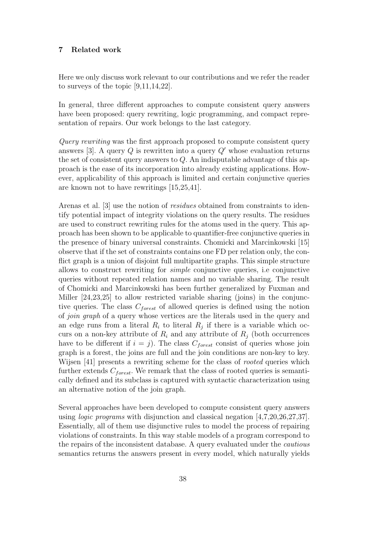### 7 Related work

Here we only discuss work relevant to our contributions and we refer the reader to surveys of the topic [9,11,14,22].

In general, three different approaches to compute consistent query answers have been proposed: query rewriting, logic programming, and compact representation of repairs. Our work belongs to the last category.

Query rewriting was the first approach proposed to compute consistent query answers [3]. A query Q is rewritten into a query  $Q'$  whose evaluation returns the set of consistent query answers to Q. An indisputable advantage of this approach is the ease of its incorporation into already existing applications. However, applicability of this approach is limited and certain conjunctive queries are known not to have rewritings [15,25,41].

Arenas et al. [3] use the notion of residues obtained from constraints to identify potential impact of integrity violations on the query results. The residues are used to construct rewriting rules for the atoms used in the query. This approach has been shown to be applicable to quantifier-free conjunctive queries in the presence of binary universal constraints. Chomicki and Marcinkowski [15] observe that if the set of constraints contains one FD per relation only, the conflict graph is a union of disjoint full multipartite graphs. This simple structure allows to construct rewriting for simple conjunctive queries, i.e conjunctive queries without repeated relation names and no variable sharing. The result of Chomicki and Marcinkowski has been further generalized by Fuxman and Miller  $[24,23,25]$  to allow restricted variable sharing (joins) in the conjunctive queries. The class  $C_{forest}$  of allowed queries is defined using the notion of join graph of a query whose vertices are the literals used in the query and an edge runs from a literal  $R_i$  to literal  $R_j$  if there is a variable which occurs on a non-key attribute of  $R_i$  and any attribute of  $R_j$  (both occurrences have to be different if  $i = j$ ). The class  $C_{forest}$  consist of queries whose join graph is a forest, the joins are full and the join conditions are non-key to key. Wijsen [41] presents a rewriting scheme for the class of rooted queries which further extends  $C_{forest}$ . We remark that the class of rooted queries is semantically defined and its subclass is captured with syntactic characterization using an alternative notion of the join graph.

Several approaches have been developed to compute consistent query answers using logic programs with disjunction and classical negation [4,7,20,26,27,37]. Essentially, all of them use disjunctive rules to model the process of repairing violations of constraints. In this way stable models of a program correspond to the repairs of the inconsistent database. A query evaluated under the cautious semantics returns the answers present in every model, which naturally yields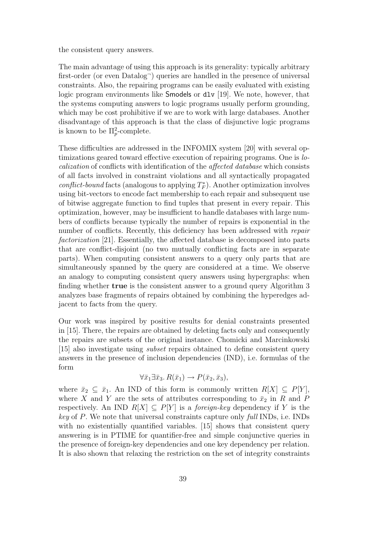the consistent query answers.

The main advantage of using this approach is its generality: typically arbitrary first-order (or even Datalog<sup>-</sup>) queries are handled in the presence of universal constraints. Also, the repairing programs can be easily evaluated with existing logic program environments like Smodels or dlv [19]. We note, however, that the systems computing answers to logic programs usually perform grounding, which may be cost prohibitive if we are to work with large databases. Another disadvantage of this approach is that the class of disjunctive logic programs is known to be  $\Pi_p^2$ -complete.

These difficulties are addressed in the INFOMIX system [20] with several optimizations geared toward effective execution of repairing programs. One is localization of conflicts with identification of the affected database which consists of all facts involved in constraint violations and all syntactically propagated conflict-bound facts (analogous to applying  $T_F^*$ ). Another optimization involves using bit-vectors to encode fact membership to each repair and subsequent use of bitwise aggregate function to find tuples that present in every repair. This optimization, however, may be insufficient to handle databases with large numbers of conflicts because typically the number of repairs is exponential in the number of conflicts. Recently, this deficiency has been addressed with repair factorization [21]. Essentially, the affected database is decomposed into parts that are conflict-disjoint (no two mutually conflicting facts are in separate parts). When computing consistent answers to a query only parts that are simultaneously spanned by the query are considered at a time. We observe an analogy to computing consistent query answers using hypergraphs: when finding whether true is the consistent answer to a ground query Algorithm 3 analyzes base fragments of repairs obtained by combining the hyperedges adjacent to facts from the query.

Our work was inspired by positive results for denial constraints presented in [15]. There, the repairs are obtained by deleting facts only and consequently the repairs are subsets of the original instance. Chomicki and Marcinkowski [15] also investigate using subset repairs obtained to define consistent query answers in the presence of inclusion dependencies (IND), i.e. formulas of the form

$$
\forall \bar{x}_1 \exists \bar{x}_3. R(\bar{x}_1) \rightarrow P(\bar{x}_2, \bar{x}_3),
$$

where  $\bar{x}_2 \subseteq \bar{x}_1$ . An IND of this form is commonly written  $R[X] \subseteq P[Y]$ , where X and Y are the sets of attributes corresponding to  $\bar{x}_2$  in R and P respectively. An IND  $R[X] \subseteq P[Y]$  is a *foreign-key* dependency if Y is the key of P. We note that universal constraints capture only full INDs, i.e. INDs with no existentially quantified variables. [15] shows that consistent query answering is in PTIME for quantifier-free and simple conjunctive queries in the presence of foreign-key dependencies and one key dependency per relation. It is also shown that relaxing the restriction on the set of integrity constraints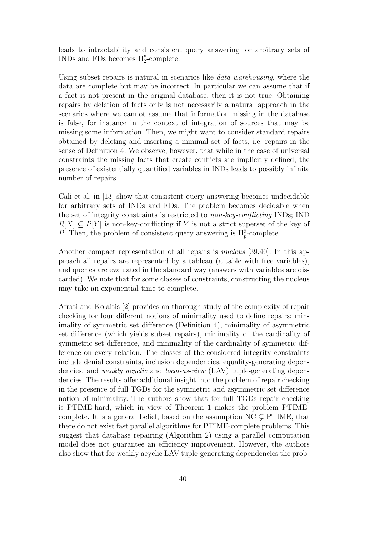leads to intractability and consistent query answering for arbitrary sets of INDs and FDs becomes  $\Pi^p_2$ -complete.

Using subset repairs is natural in scenarios like *data warehousing*, where the data are complete but may be incorrect. In particular we can assume that if a fact is not present in the original database, then it is not true. Obtaining repairs by deletion of facts only is not necessarily a natural approach in the scenarios where we cannot assume that information missing in the database is false, for instance in the context of integration of sources that may be missing some information. Then, we might want to consider standard repairs obtained by deleting and inserting a minimal set of facts, i.e. repairs in the sense of Definition 4. We observe, however, that while in the case of universal constraints the missing facts that create conflicts are implicitly defined, the presence of existentially quantified variables in INDs leads to possibly infinite number of repairs.

Cali et al. in [13] show that consistent query answering becomes undecidable for arbitrary sets of INDs and FDs. The problem becomes decidable when the set of integrity constraints is restricted to non-key-conflicting INDs; IND  $R[X] \subseteq P[Y]$  is non-key-conflicting if Y is not a strict superset of the key of P. Then, the problem of consistent query answering is  $\Pi_p^2$ -complete.

Another compact representation of all repairs is nucleus [39,40]. In this approach all repairs are represented by a tableau (a table with free variables), and queries are evaluated in the standard way (answers with variables are discarded). We note that for some classes of constraints, constructing the nucleus may take an exponential time to complete.

Afrati and Kolaitis [2] provides an thorough study of the complexity of repair checking for four different notions of minimality used to define repairs: minimality of symmetric set difference (Definition 4), minimality of asymmetric set difference (which yields subset repairs), minimality of the cardinality of symmetric set difference, and minimality of the cardinality of symmetric difference on every relation. The classes of the considered integrity constraints include denial constraints, inclusion dependencies, equality-generating dependencies, and *weakly acyclic* and *local-as-view* (LAV) tuple-generating dependencies. The results offer additional insight into the problem of repair checking in the presence of full TGDs for the symmetric and asymmetric set difference notion of minimality. The authors show that for full TGDs repair checking is PTIME-hard, which in view of Theorem 1 makes the problem PTIMEcomplete. It is a general belief, based on the assumption  $NC \subset \text{PTIME}$ , that there do not exist fast parallel algorithms for PTIME-complete problems. This suggest that database repairing (Algorithm 2) using a parallel computation model does not guarantee an efficiency improvement. However, the authors also show that for weakly acyclic LAV tuple-generating dependencies the prob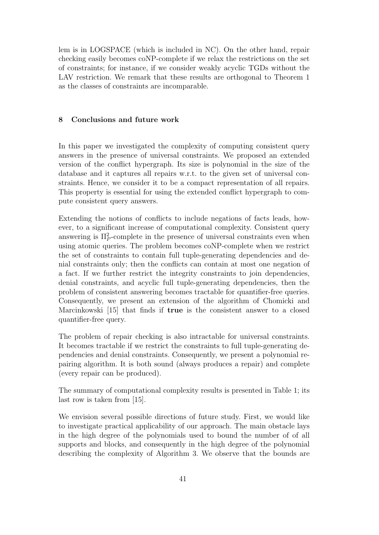lem is in LOGSPACE (which is included in NC). On the other hand, repair checking easily becomes coNP-complete if we relax the restrictions on the set of constraints; for instance, if we consider weakly acyclic TGDs without the LAV restriction. We remark that these results are orthogonal to Theorem 1 as the classes of constraints are incomparable.

# 8 Conclusions and future work

In this paper we investigated the complexity of computing consistent query answers in the presence of universal constraints. We proposed an extended version of the conflict hypergraph. Its size is polynomial in the size of the database and it captures all repairs w.r.t. to the given set of universal constraints. Hence, we consider it to be a compact representation of all repairs. This property is essential for using the extended conflict hypergraph to compute consistent query answers.

Extending the notions of conflicts to include negations of facts leads, however, to a significant increase of computational complexity. Consistent query answering is  $\Pi_P^2$ -complete in the presence of universal constraints even when using atomic queries. The problem becomes coNP-complete when we restrict the set of constraints to contain full tuple-generating dependencies and denial constraints only; then the conflicts can contain at most one negation of a fact. If we further restrict the integrity constraints to join dependencies, denial constraints, and acyclic full tuple-generating dependencies, then the problem of consistent answering becomes tractable for quantifier-free queries. Consequently, we present an extension of the algorithm of Chomicki and Marcinkowski [15] that finds if true is the consistent answer to a closed quantifier-free query.

The problem of repair checking is also intractable for universal constraints. It becomes tractable if we restrict the constraints to full tuple-generating dependencies and denial constraints. Consequently, we present a polynomial repairing algorithm. It is both sound (always produces a repair) and complete (every repair can be produced).

The summary of computational complexity results is presented in Table 1; its last row is taken from [15].

We envision several possible directions of future study. First, we would like to investigate practical applicability of our approach. The main obstacle lays in the high degree of the polynomials used to bound the number of of all supports and blocks, and consequently in the high degree of the polynomial describing the complexity of Algorithm 3. We observe that the bounds are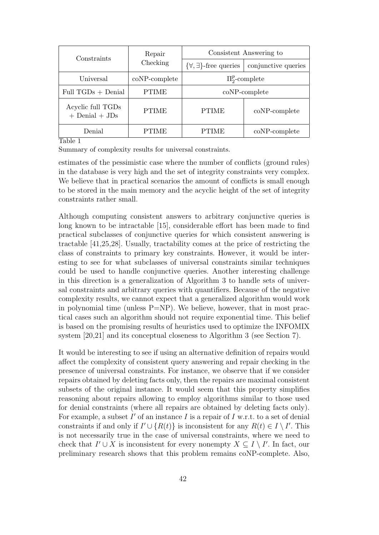| Constraints                             | Repair<br>Checking | Consistent Answering to             |                     |  |
|-----------------------------------------|--------------------|-------------------------------------|---------------------|--|
|                                         |                    | $\{\forall,\exists\}$ -free queries | conjunctive queries |  |
| Universal                               | $coNP$ -complete   | $\Pi_2^p$ -complete                 |                     |  |
| Full $TGDs + Denial$                    | <b>PTIME</b>       | $coNP$ -complete                    |                     |  |
| Acyclic full TGDs<br>$+$ Denial $+$ JDs | <b>PTIME</b>       | <b>PTIME</b>                        | coNP-complete       |  |
| Denial<br>$T = 11.4$                    | TIME               | PTIME                               | $coNP$ -complete    |  |

Table 1

Summary of complexity results for universal constraints.

estimates of the pessimistic case where the number of conflicts (ground rules) in the database is very high and the set of integrity constraints very complex. We believe that in practical scenarios the amount of conflicts is small enough to be stored in the main memory and the acyclic height of the set of integrity constraints rather small.

Although computing consistent answers to arbitrary conjunctive queries is long known to be intractable [15], considerable effort has been made to find practical subclasses of conjunctive queries for which consistent answering is tractable [41,25,28]. Usually, tractability comes at the price of restricting the class of constraints to primary key constraints. However, it would be interesting to see for what subclasses of universal constraints similar techniques could be used to handle conjunctive queries. Another interesting challenge in this direction is a generalization of Algorithm 3 to handle sets of universal constraints and arbitrary queries with quantifiers. Because of the negative complexity results, we cannot expect that a generalized algorithm would work in polynomial time (unless  $P=NP$ ). We believe, however, that in most practical cases such an algorithm should not require exponential time. This belief is based on the promising results of heuristics used to optimize the INFOMIX system [20,21] and its conceptual closeness to Algorithm 3 (see Section 7).

It would be interesting to see if using an alternative definition of repairs would affect the complexity of consistent query answering and repair checking in the presence of universal constraints. For instance, we observe that if we consider repairs obtained by deleting facts only, then the repairs are maximal consistent subsets of the original instance. It would seem that this property simplifies reasoning about repairs allowing to employ algorithms similar to those used for denial constraints (where all repairs are obtained by deleting facts only). For example, a subset  $I'$  of an instance  $I$  is a repair of  $I$  w.r.t. to a set of denial constraints if and only if  $I' \cup \{R(t)\}\$ is inconsistent for any  $R(t) \in I \setminus I'$ . This is not necessarily true in the case of universal constraints, where we need to check that  $I' \cup X$  is inconsistent for every nonempty  $X \subseteq I \setminus I'$ . In fact, our preliminary research shows that this problem remains coNP-complete. Also,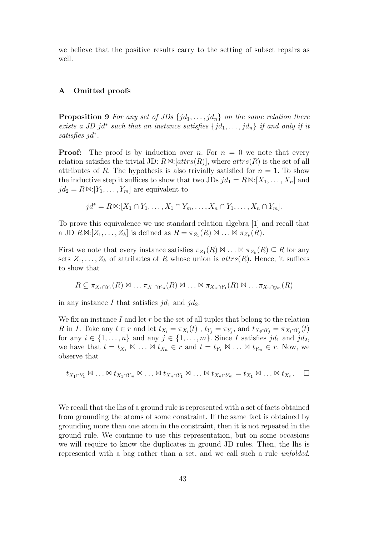we believe that the positive results carry to the setting of subset repairs as well.

#### A Omitted proofs

**Proposition 9** For any set of JDs  $\{jd_1, \ldots, jd_n\}$  on the same relation there exists a JD jd<sup>\*</sup> such that an instance satisfies  $\{jd_1, \ldots, jd_n\}$  if and only if it satisfies jd<sup>∗</sup> .

**Proof:** The proof is by induction over n. For  $n = 0$  we note that every relation satisfies the trivial JD:  $R \Join [attrs(R)]$ , where  $attrs(R)$  is the set of all attributes of R. The hypothesis is also trivially satisfied for  $n = 1$ . To show the inductive step it suffices to show that two JDs  $jd_1 = R \Join [X_1, \ldots, X_n]$  and  $jd_2 = R \Join [Y_1, \ldots, Y_m]$  are equivalent to

$$
jd^* = R \boxtimes [X_1 \cap Y_1, \dots, X_1 \cap Y_m, \dots, X_n \cap Y_1, \dots, X_n \cap Y_m].
$$

To prove this equivalence we use standard relation algebra [1] and recall that a JD  $R \Join [Z_1, \ldots, Z_k]$  is defined as  $R = \pi_{Z_1}(R) \Join \ldots \Join \pi_{Z_k}(R)$ .

First we note that every instance satisfies  $\pi_{Z_1}(R) \bowtie \ldots \bowtie \pi_{Z_k}(R) \subseteq R$  for any sets  $Z_1, \ldots, Z_k$  of attributes of R whose union is  $attrs(R)$ . Hence, it suffices to show that

$$
R \subseteq \pi_{X_1 \cap Y_1}(R) \bowtie \ldots \pi_{X_1 \cap Y_m}(R) \bowtie \ldots \bowtie \pi_{X_n \cap Y_1}(R) \bowtie \ldots \pi_{X_n \cap y_m}(R)
$$

in any instance I that satisfies  $jd_1$  and  $jd_2$ .

We fix an instance I and let  $r$  be the set of all tuples that belong to the relation R in I. Take any  $t \in r$  and let  $t_{X_i} = \pi_{X_i}(t)$ ,  $t_{Y_j} = \pi_{Y_j}$ , and  $t_{X_i \cap Y_j} = \pi_{X_i \cap Y_j}(t)$ for any  $i \in \{1, \ldots, n\}$  and any  $j \in \{1, \ldots, m\}$ . Since I satisfies  $jd_1$  and  $jd_2$ , we have that  $t = t_{X_1} \boxtimes ... \boxtimes t_{X_n} \in r$  and  $t = t_{Y_1} \boxtimes ... \boxtimes t_{Y_m} \in r$ . Now, we observe that

$$
t_{X_1 \cap Y_1} \otimes \ldots \otimes t_{X_1 \cap Y_m} \otimes \ldots \otimes t_{X_n \cap Y_1} \otimes \ldots \otimes t_{X_n \cap Y_m} = t_{X_1} \otimes \ldots \otimes t_{X_n}.
$$

We recall that the lhs of a ground rule is represented with a set of facts obtained from grounding the atoms of some constraint. If the same fact is obtained by grounding more than one atom in the constraint, then it is not repeated in the ground rule. We continue to use this representation, but on some occasions we will require to know the duplicates in ground JD rules. Then, the lhs is represented with a bag rather than a set, and we call such a rule unfolded.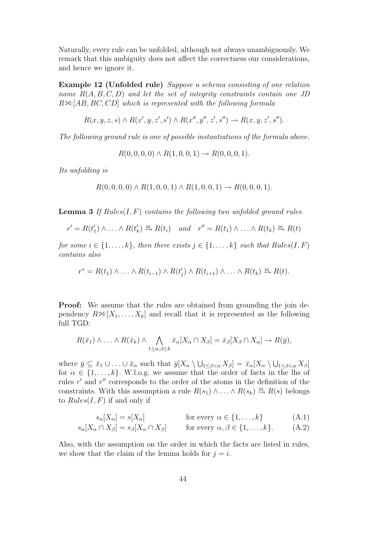Naturally, every rule can be unfolded, although not always unambiguously. We remark that this ambiguity does not affect the correctness our considerations, and hence we ignore it.

Example 12 (Unfolded rule) Suppose a schema consisting of one relation name  $R(A, B, C, D)$  and let the set of integrity constraints contain one JD  $R \Join [AB, BC, CD]$  which is represented with the following formula

$$
R(x, y, z, s) \land R(x', y, z', s') \land R(x'', y'', z', s'') \rightarrow R(x, y, z', s'').
$$

The following ground rule is one of possible instantiations of the formula above.

$$
R(0,0,0,0) \wedge R(1,0,0,1) \to R(0,0,0,1).
$$

Its unfolding is

$$
R(0,0,0,0) \wedge R(1,0,0,1) \wedge R(1,0,0,1) \rightarrow R(0,0,0,1).
$$

**Lemma 3** If  $Rules(I, F)$  contains the following two unfolded ground rules

$$
r' = R(t'_1) \wedge \ldots \wedge R(t'_k) \stackrel{\bowtie}{\rightarrow} R(t_i) \quad and \quad r'' = R(t_1) \wedge \ldots \wedge R(t_k) \stackrel{\bowtie}{\rightarrow} R(t)
$$

for some  $i \in \{1, \ldots, k\}$ , then there exists  $j \in \{1, \ldots, k\}$  such that  $Rules(I, F)$ contains also

$$
r^* = R(t_1) \wedge \ldots \wedge R(t_{i-1}) \wedge R(t'_j) \wedge R(t_{i+1}) \wedge \ldots \wedge R(t_k) \stackrel{\bowtie}{\to} R(t).
$$

**Proof:** We assume that the rules are obtained from grounding the join dependency  $R \Join [X_1, \ldots, X_k]$  and recall that it is represented as the following full TGD:

$$
R(\bar{x}_1) \wedge \ldots \wedge R(\bar{x}_k) \wedge \bigwedge_{1 \leq \alpha, \beta \leq k} \bar{x}_{\alpha}[X_{\alpha} \cap X_{\beta}] = \bar{x}_{\beta}[X_{\beta} \cap X_{\alpha}] \rightarrow R(\bar{y}),
$$

where  $\bar{y} \subseteq \bar{x}_1 \cup \ldots \cup \bar{x}_n$  such that  $\bar{y}[X_\alpha \setminus \bigcup_{1 \leq \beta < \alpha} X_\beta] = \bar{x}_\alpha[X_\alpha \setminus \bigcup_{1 \leq \beta < \alpha} X_\beta]$ for  $\alpha \in \{1, \ldots, k\}$ . W.l.o.g. we assume that the order of facts in the lhs of rules  $r'$  and  $r''$  corresponds to the order of the atoms in the definition of the constraints. With this assumption a rule  $R(s_1) \wedge \ldots \wedge R(s_k) \stackrel{\bowtie}{\rightarrow} R(s)$  belongs to  $Rules(I, F)$  if and only if

$$
s_{\alpha}[X_{\alpha}] = s[X_{\alpha}] \qquad \text{for every } \alpha \in \{1, \dots, k\} \qquad (A.1)
$$

$$
s_{\alpha}[X_{\alpha} \cap X_{\beta}] = s_{\beta}[X_{\alpha} \cap X_{\beta}] \qquad \text{for every } \alpha, \beta \in \{1, \dots, k\}. \tag{A.2}
$$

Also, with the assumption on the order in which the facts are listed in rules, we show that the claim of the lemma holds for  $j = i$ .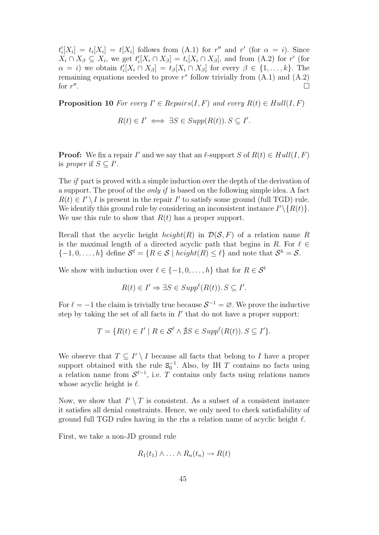$t'_{i}[X_{i}] = t_{i}[X_{i}] = t[X_{i}]$  follows from (A.1) for r'' and r' (for  $\alpha = i$ ). Since  $X_i \cap X_{\beta} \subseteq X_i$ , we get  $t'_i[X_i \cap X_{\beta}] = t_i[X_i \cap X_{\beta}]$ , and from  $(A.2)$  for r' (for  $\alpha = i$ ) we obtain  $t'_i[X_i \cap X_{\beta}] = t_{\beta}[X_i \cap X_{\beta}]$  for every  $\beta \in \{1, ..., k\}$ . The remaining equations needed to prove  $r^*$  follow trivially from  $(A.1)$  and  $(A.2)$ for  $r''$ .

**Proposition 10** For every  $I' \in Repairs(I, F)$  and every  $R(t) \in Hull(I, F)$ 

$$
R(t) \in I' \iff \exists S \in Supp(R(t)). S \subseteq I'.
$$

**Proof:** We fix a repair I' and we say that an  $\ell$ -support S of  $R(t) \in Hull(I, F)$ is proper if  $S \subseteq I'$ .

The if part is proved with a simple induction over the depth of the derivation of a support. The proof of the only if is based on the following simple idea. A fact  $R(t) \in I' \backslash I$  is present in the repair  $I'$  to satisfy some ground (full TGD) rule. We identify this ground rule by considering an inconsistent instance  $I'\setminus\{R(t)\}.$ We use this rule to show that  $R(t)$  has a proper support.

Recall that the acyclic height height(R) in  $\mathcal{D}(\mathcal{S}, F)$  of a relation name R is the maximal length of a directed acyclic path that begins in R. For  $\ell \in$  $\{-1,0,\ldots,h\}$  define  $\mathcal{S}^{\ell} = \{R \in \mathcal{S} \mid height(R) \leq \ell\}$  and note that  $\mathcal{S}^{h} = \mathcal{S}$ .

We show with induction over  $\ell \in \{-1,0,\ldots,h\}$  that for  $R \in \mathcal{S}^{\ell}$ 

$$
R(t) \in I' \Rightarrow \exists S \in Supp^{\ell}(R(t)). S \subseteq I'.
$$

For  $\ell = -1$  the claim is trivially true because  $S^{-1} = \emptyset$ . We prove the inductive step by taking the set of all facts in  $I'$  that do not have a proper support:

$$
T = \{ R(t) \in I' \mid R \in \mathcal{S}^{\ell} \land \nexists S \in Supp^{\ell}(R(t)). S \subseteq I' \}.
$$

We observe that  $T \subseteq I' \setminus I$  because all facts that belong to I have a proper support obtained with the rule  $S_0^{-1}$ . Also, by IH T contains no facts using a relation name from  $\mathcal{S}^{\ell-1}$ , i.e. T contains only facts using relations names whose acyclic height is  $\ell$ .

Now, we show that  $I' \setminus T$  is consistent. As a subset of a consistent instance it satisfies all denial constraints. Hence, we only need to check satisfiability of ground full TGD rules having in the rhs a relation name of acyclic height  $\ell$ .

First, we take a non-JD ground rule

$$
R_1(t_1) \wedge \ldots \wedge R_n(t_n) \to R(t)
$$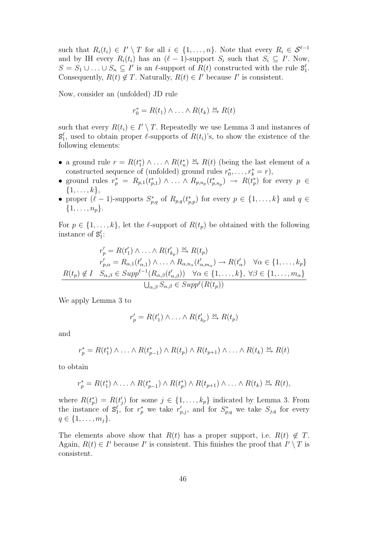such that  $R_i(t_i) \in I' \setminus T$  for all  $i \in \{1, \ldots, n\}$ . Note that every  $R_i \in \mathcal{S}^{\ell-1}$ and by IH every  $R_i(t_i)$  has an  $(\ell-1)$ -support  $S_i$  such that  $S_i \subseteq I'$ . Now,  $S = S_1 \cup \ldots \cup S_n \subseteq I'$  is an  $\ell$ -support of  $R(t)$  constructed with the rule  $S_1^{\ell}$ . Consequently,  $R(t) \notin T$ . Naturally,  $R(t) \in I'$  because I' is consistent.

Now, consider an (unfolded) JD rule

$$
r_0^* = R(t_1) \wedge \ldots \wedge R(t_k) \stackrel{\bowtie}{\to} R(t)
$$

such that every  $R(t_i) \in I' \setminus T$ . Repeatedly we use Lemma 3 and instances of  $S_1^{\ell}$ , used to obtain proper  $\ell$ -supports of  $R(t_i)$ 's, to show the existence of the following elements:

- a ground rule  $r = R(t_1^*) \wedge \ldots \wedge R(t_n^*) \stackrel{\bowtie}{\to} R(t)$  (being the last element of a constructed sequence of (unfolded) ground rules  $r_0^*, \ldots, r_k^* = r$ ),
- ground rules  $r_p^* = R_{p,1}(t_{p,1}^*) \wedge \ldots \wedge R_{p,n_p}(t_{p,n_p}^*) \rightarrow R(t_p^*)$  for every  $p \in$  $\{1,\ldots,k\},\$
- proper  $(\ell-1)$ -supports  $S_{p,q}^*$  of  $R_{p,q}(t_{p,p}^*)$  for every  $p \in \{1,\ldots,k\}$  and  $q \in$  $\{1,\ldots,n_p\}.$

For  $p \in \{1, \ldots, k\}$ , let the  $\ell$ -support of  $R(t_p)$  be obtained with the following instance of  $S_1^{\ell}$ :

$$
r'_{p} = R(t'_{1}) \wedge \ldots \wedge R(t'_{k_{p}}) \xrightarrow{\bowtie} R(t_{p})
$$
  
\n
$$
r'_{p,\alpha} = R_{\alpha,1}(t'_{\alpha,1}) \wedge \ldots \wedge R_{\alpha,n_{\alpha}}(t'_{\alpha,m_{\alpha}}) \rightarrow R(t'_{\alpha}) \quad \forall \alpha \in \{1, \ldots, k_{p}\}
$$
  
\n
$$
R(t_{p}) \notin I \quad S_{\alpha,\beta} \in Supp^{\ell-1}(R_{\alpha,\beta}(t'_{\alpha,\beta})) \quad \forall \alpha \in \{1, \ldots, k\}, \ \forall \beta \in \{1, \ldots, m_{\alpha}\}
$$
  
\n
$$
\bigcup_{\alpha,\beta} S_{\alpha,\beta} \in Supp^{\ell}(R(t_{p}))
$$

We apply Lemma 3 to

$$
r'_p = R(t'_1) \wedge \ldots \wedge R(t'_{k_p}) \stackrel{\bowtie}{\to} R(t_p)
$$

and

$$
r_p^* = R(t_1^*) \wedge \ldots \wedge R(t_{p-1}^*) \wedge R(t_p) \wedge R(t_{p+1}) \wedge \ldots \wedge R(t_k) \stackrel{\bowtie}{\rightarrow} R(t)
$$

to obtain

$$
r_p^* = R(t_1^*) \wedge \ldots \wedge R(t_{p-1}^*) \wedge R(t_p^*) \wedge R(t_{p+1}) \wedge \ldots \wedge R(t_k) \stackrel{\bowtie}{\rightarrow} R(t),
$$

where  $R(t_p^*) = R(t'_j)$  for some  $j \in \{1, ..., k_p\}$  indicated by Lemma 3. From the instance of  $S_1^{\ell}$ , for  $r_p^*$  we take  $r'_{p,j}$ , and for  $S_{p,q}^*$  we take  $S_{j,q}$  for every  $q \in \{1, \ldots, m_i\}.$ 

The elements above show that  $R(t)$  has a proper support, i.e.  $R(t) \notin T$ . Again,  $R(t) \in I'$  because I' is consistent. This finishes the proof that  $I' \setminus T$  is consistent.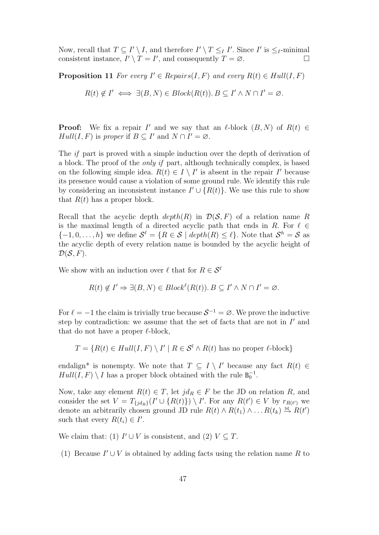Now, recall that  $T \subseteq I' \setminus I$ , and therefore  $I' \setminus T \leq I'$ . Since I' is  $\leq_{I}$ -minimal consistent instance,  $I' \setminus T = I'$ , and consequently  $T = \emptyset$ .

**Proposition 11** For every  $I' \in Repairs(I, F)$  and every  $R(t) \in Hull(I, F)$ 

$$
R(t) \notin I' \iff \exists (B, N) \in Block(R(t)). \, B \subseteq I' \land N \cap I' = \varnothing.
$$

**Proof:** We fix a repair I' and we say that an  $\ell$ -block  $(B, N)$  of  $R(t) \in$  $Hull(I, F)$  is proper if  $B \subseteq I'$  and  $N \cap I' = \emptyset$ .

The if part is proved with a simple induction over the depth of derivation of a block. The proof of the only if part, although technically complex, is based on the following simple idea.  $R(t) \in I \setminus I'$  is absent in the repair I' because its presence would cause a violation of some ground rule. We identify this rule by considering an inconsistent instance  $I' \cup \{R(t)\}\)$ . We use this rule to show that  $R(t)$  has a proper block.

Recall that the acyclic depth  $depth(R)$  in  $\mathcal{D}(\mathcal{S}, F)$  of a relation name R is the maximal length of a directed acyclic path that ends in R. For  $\ell \in$  $\{-1,0,\ldots,h\}$  we define  $\mathcal{S}^{\ell} = \{R \in \mathcal{S} \mid depth(R) \leq \ell\}$ . Note that  $\mathcal{S}^{h} = \mathcal{S}$  as the acyclic depth of every relation name is bounded by the acyclic height of  $\mathcal{D}(\mathcal{S}, F)$ .

We show with an induction over  $\ell$  that for  $R \in \mathcal{S}^{\ell}$ 

$$
R(t) \notin I' \Rightarrow \exists (B, N) \in Block^{\ell}(R(t)). B \subseteq I' \land N \cap I' = \varnothing.
$$

For  $\ell = -1$  the claim is trivially true because  $S^{-1} = \emptyset$ . We prove the inductive step by contradiction: we assume that the set of facts that are not in  $I'$  and that do not have a proper  $\ell$ -block,

$$
T = \{ R(t) \in Hull(I, F) \setminus I' \mid R \in S^l \wedge R(t) \text{ has no proper } \ell\text{-block} \}
$$

endalign<sup>\*</sup> is nonempty. We note that  $T \subseteq I \setminus I'$  because any fact  $R(t) \in$  $Hull(I, F) \setminus I$  has a proper block obtained with the rule  $B_0^{-1}$ .

Now, take any element  $R(t) \in T$ , let  $jd_R \in F$  be the JD on relation R, and consider the set  $V = T_{\{jd_R\}}(I' \cup \{R(t)\}) \setminus I'$ . For any  $R(t') \in V$  by  $r_{R(t')}$  we denote an arbitrarily chosen ground JD rule  $R(t) \wedge R(t_1) \wedge ... R(t_k) \stackrel{\bowtie}{\rightarrow} R(t')$ such that every  $R(t_i) \in I'$ .

We claim that: (1)  $I' \cup V$  is consistent, and (2)  $V \subseteq T$ .

(1) Because  $I' \cup V$  is obtained by adding facts using the relation name R to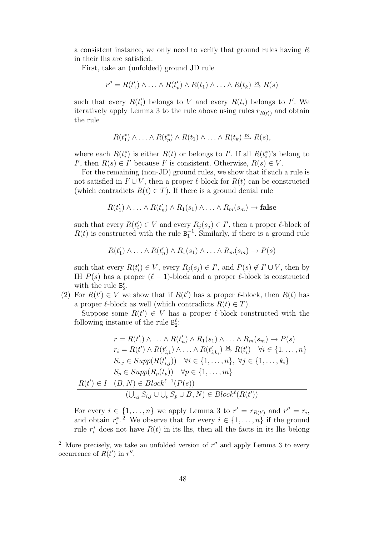a consistent instance, we only need to verify that ground rules having R in their lhs are satisfied.

First, take an (unfolded) ground JD rule

$$
r'' = R(t'_1) \wedge \ldots \wedge R(t'_p) \wedge R(t_1) \wedge \ldots \wedge R(t_k) \stackrel{\bowtie}{\rightarrow} R(s)
$$

such that every  $R(t_i)$  belongs to V and every  $R(t_i)$  belongs to I'. We iteratively apply Lemma 3 to the rule above using rules  $r_{R(t'_i)}$  and obtain the rule

$$
R(t_1^*) \wedge \ldots \wedge R(t_p^*) \wedge R(t_1) \wedge \ldots \wedge R(t_k) \stackrel{\bowtie}{\to} R(s),
$$

where each  $R(t_i^*)$  is either  $R(t)$  or belongs to I'. If all  $R(t_i^*)$ 's belong to *I'*, then  $R(s) \in I'$  because *I'* is consistent. Otherwise,  $R(s) \in V$ .

For the remaining (non-JD) ground rules, we show that if such a rule is not satisfied in  $I' \cup V$ , then a proper  $\ell$ -block for  $R(t)$  can be constructed (which contradicts  $R(t) \in T$ ). If there is a ground denial rule

$$
R(t'_1) \wedge \ldots \wedge R(t'_n) \wedge R_1(s_1) \wedge \ldots \wedge R_m(s_m) \rightarrow \mathbf{false}
$$

such that every  $R(t'_i) \in V$  and every  $R_j(s_j) \in I'$ , then a proper  $\ell$ -block of  $R(t)$  is constructed with the rule  $B_1^{-1}$ . Similarly, if there is a ground rule

$$
R(t'_1) \wedge \ldots \wedge R(t'_n) \wedge R_1(s_1) \wedge \ldots \wedge R_m(s_m) \rightarrow P(s)
$$

such that every  $R(t'_{i}) \in V$ , every  $R_{j}(s_{j}) \in I'$ , and  $P(s) \notin I' \cup V$ , then by IH  $P(s)$  has a proper  $(\ell-1)$ -block and a proper  $\ell$ -block is constructed with the rule  $B_2^{\ell}$ .

(2) For  $R(t') \in V$  we show that if  $R(t')$  has a proper  $\ell$ -block, then  $R(t)$  has a proper  $\ell$ -block as well (which contradicts  $R(t) \in T$ ).

Suppose some  $R(t') \in V$  has a proper  $\ell$ -block constructed with the following instance of the rule  $\mathtt{B}_2^\ell$ :

$$
r = R(t'_1) \wedge \ldots \wedge R(t'_n) \wedge R_1(s_1) \wedge \ldots \wedge R_m(s_m) \rightarrow P(s)
$$
  
\n
$$
r_i = R(t') \wedge R(t'_{i,1}) \wedge \ldots \wedge R(t'_{i,k_i}) \stackrel{\omega}{\rightarrow} R(t'_i) \quad \forall i \in \{1, \ldots, n\}
$$
  
\n
$$
S_{i,j} \in Supp(R(t'_{i,j})) \quad \forall i \in \{1, \ldots, n\}, \forall j \in \{1, \ldots, k_i\}
$$
  
\n
$$
S_p \in Supp(R_p(t_p)) \quad \forall p \in \{1, \ldots, m\}
$$
  
\n
$$
R(t') \in I \quad (B, N) \in Block^{\ell-1}(P(s))
$$
  
\n
$$
(\bigcup_{i,j} S_{i,j} \cup \bigcup_p S_p \cup B, N) \in Block^{\ell}(R(t'))
$$

For every  $i \in \{1, \ldots, n\}$  we apply Lemma 3 to  $r' = r_{R(t')}$  and  $r'' = r_i$ , and obtain  $r_i^*$ .<sup>2</sup> We observe that for every  $i \in \{1, ..., n\}$  if the ground rule  $r_i^*$  does not have  $R(t)$  in its lhs, then all the facts in its lhs belong

<sup>&</sup>lt;sup>2</sup> More precisely, we take an unfolded version of  $r''$  and apply Lemma 3 to every occurrence of  $R(t')$  in  $r''$ .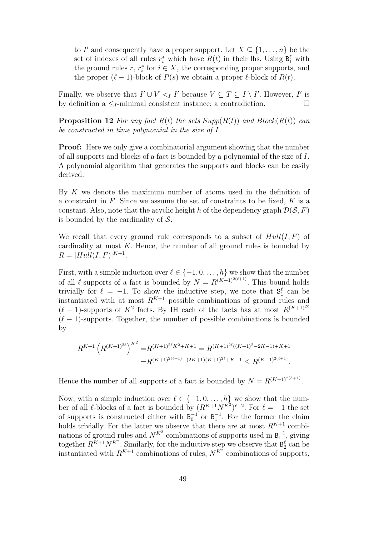to I' and consequently have a proper support. Let  $X \subseteq \{1, \ldots, n\}$  be the set of indexes of all rules  $r_i^*$  which have  $R(t)$  in their lhs. Using  $B_1^{\ell}$  with the ground rules  $r, r_i^*$  for  $i \in X$ , the corresponding proper supports, and the proper  $(\ell - 1)$ -block of  $P(s)$  we obtain a proper  $\ell$ -block of  $R(t)$ .

Finally, we observe that  $I' \cup V \leq I'$  because  $V \subseteq T \subseteq I \setminus I'$ . However, I' is by definition a  $\leq_I$ -minimal consistent instance; a contradiction.  $\Box$ 

**Proposition 12** For any fact  $R(t)$  the sets  $Supp(R(t))$  and  $Block(R(t))$  can be constructed in time polynomial in the size of I.

Proof: Here we only give a combinatorial argument showing that the number of all supports and blocks of a fact is bounded by a polynomial of the size of I. A polynomial algorithm that generates the supports and blocks can be easily derived.

By K we denote the maximum number of atoms used in the definition of a constraint in  $F$ . Since we assume the set of constraints to be fixed,  $K$  is a constant. Also, note that the acyclic height h of the dependency graph  $\mathcal{D}(\mathcal{S}, F)$ is bounded by the cardinality of  $S$ .

We recall that every ground rule corresponds to a subset of  $Hull(I, F)$  of cardinality at most  $K$ . Hence, the number of all ground rules is bounded by  $R = |Hull(I, F)|^{K+1}.$ 

First, with a simple induction over  $\ell \in \{-1, 0, \ldots, h\}$  we show that the number of all  $\ell$ -supports of a fact is bounded by  $N = R^{(K+1)^{2(\ell+1)}}$ . This bound holds trivially for  $\ell = -1$ . To show the inductive step, we note that  $S_1^{\ell}$  can be instantiated with at most  $R^{K+1}$  possible combinations of ground rules and  $(\ell-1)$ -supports of  $K^2$  facts. By IH each of the facts has at most  $R^{(K+1)^{2\ell}}$  $(\ell-1)$ -supports. Together, the number of possible combinations is bounded by

$$
R^{K+1} \left( R^{(K+1)^{2\ell}} \right)^{K^2} = R^{(K+1)^{2\ell} K^2 + K + 1} = R^{(K+1)^{2\ell} ((K+1)^2 - 2K - 1) + K + 1}
$$
  
= 
$$
R^{(K+1)^{2(\ell+1)} - (2K+1)(K+1)^{2\ell} + K + 1} \leq R^{(K+1)^{2(\ell+1)}}.
$$

Hence the number of all supports of a fact is bounded by  $N = R^{(K+1)^{2(h+1)}}$ .

Now, with a simple induction over  $\ell \in \{-1, 0, \ldots, h\}$  we show that the number of all  $\ell$ -blocks of a fact is bounded by  $(R^{K+1}N^{K^2})^{\ell+2}$ . For  $\ell = -1$  the set of supports is constructed either with  $B_0^{-1}$  or  $B_1^{-1}$ . For the former the claim holds trivially. For the latter we observe that there are at most  $R^{K+1}$  combinations of ground rules and  $N^{K^2}$  combinations of supports used in  $B_1^{-1}$ , giving together  $R^{K+1}N^{K^2}$ . Similarly, for the inductive step we observe that  $B_2^{\ell}$  can be instantiated with  $R^{K+1}$  combinations of rules,  $N^{K^2}$  combinations of supports,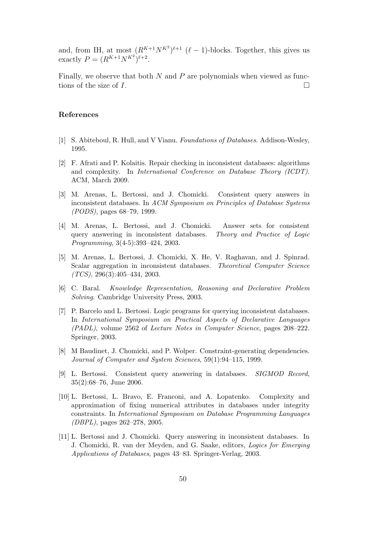and, from IH, at most  $(R^{K+1}N^{K^2})^{\ell+1}$  ( $\ell-1$ )-blocks. Together, this gives us exactly  $P = (R^{K+1}N^{K^2})^{\ell+2}$ .

Finally, we observe that both N and P are polynomials when viewed as functions of the size of  $I$ .

# References

- [1] S. Abiteboul, R. Hull, and V Vianu. Foundations of Databases. Addison-Wesley, 1995.
- [2] F. Afrati and P. Kolaitis. Repair checking in inconsistent databases: algorithms and complexity. In International Conference on Database Theory (ICDT). ACM, March 2009.
- [3] M. Arenas, L. Bertossi, and J. Chomicki. Consistent query answers in inconsistent databases. In ACM Symposium on Principles of Database Systems (PODS), pages 68–79, 1999.
- [4] M. Arenas, L. Bertossi, and J. Chomicki. Answer sets for consistent query answering in inconsistent databases. Theory and Practice of Logic Programming, 3(4-5):393–424, 2003.
- [5] M. Arenas, L. Bertossi, J. Chomicki, X. He, V. Raghavan, and J. Spinrad. Scalar aggregation in inconsistent databases. Theoretical Computer Science  $(TCS)$ , 296(3):405–434, 2003.
- [6] C. Baral. Knowledge Representation, Reasoning and Declarative Problem Solving. Cambridge University Press, 2003.
- [7] P. Barcelo and L. Bertossi. Logic programs for querying inconsistent databases. In International Symposium on Practical Aspects of Declarative Languages (PADL), volume 2562 of Lecture Notes in Computer Science, pages 208–222. Springer, 2003.
- [8] M Baudinet, J. Chomicki, and P. Wolper. Constraint-generating dependencies. Journal of Computer and System Sciences, 59(1):94–115, 1999.
- [9] L. Bertossi. Consistent query answering in databases. SIGMOD Record, 35(2):68–76, June 2006.
- [10] L. Bertossi, L. Bravo, E. Franconi, and A. Lopatenko. Complexity and approximation of fixing numerical attributes in databases under integrity constraints. In International Symposium on Database Programming Languages (DBPL), pages 262–278, 2005.
- [11] L. Bertossi and J. Chomicki. Query answering in inconsistent databases. In J. Chomicki, R. van der Meyden, and G. Saake, editors, Logics for Emerging Applications of Databases, pages 43–83. Springer-Verlag, 2003.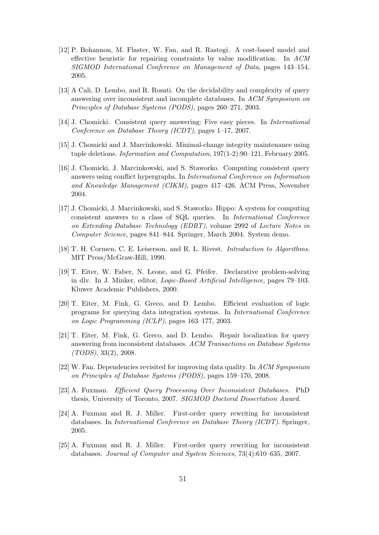- [12] P. Bohannon, M. Flaster, W. Fan, and R. Rastogi. A cost-based model and effective heuristic for repairing constraints by value modification. In ACM SIGMOD International Conference on Management of Data, pages 143–154, 2005.
- [13] A Cali, D. Lembo, and R. Rosati. On the decidability and complexity of query answering over inconsistent and incomplete databases. In ACM Symposium on Principles of Database Systems (PODS), pages 260–271, 2003.
- [14] J. Chomicki. Consistent query answering: Five easy pieces. In International Conference on Database Theory (ICDT), pages 1–17, 2007.
- [15] J. Chomicki and J. Marcinkowski. Minimal-change integrity maintenance using tuple deletions. Information and Computation, 197(1-2):90–121, February 2005.
- [16] J. Chomicki, J. Marcinkowski, and S. Staworko. Computing consistent query answers using conflict hypergraphs. In International Conference on Information and Knowledge Management (CIKM), pages 417–426. ACM Press, November 2004.
- [17] J. Chomicki, J. Marcinkowski, and S. Staworko. Hippo: A system for computing consistent answers to a class of SQL queries. In International Conference on Extending Database Technology (EDBT), volume 2992 of Lecture Notes in Computer Science, pages 841–844. Springer, March 2004. System demo.
- [18] T. H. Cormen, C. E. Leiserson, and R. L. Rivest. Introduction to Algorithms. MIT Press/McGraw-Hill, 1990.
- [19] T. Eiter, W. Faber, N. Leone, and G. Pfeifer. Declarative problem-solving in dlv. In J. Minker, editor, Logic-Based Artificial Intelligence, pages 79–103. Kluwer Academic Publishers, 2000.
- [20] T. Eiter, M. Fink, G. Greco, and D. Lembo. Efficient evaluation of logic programs for querying data integration systems. In International Conference on Logic Programming (ICLP), pages 163–177, 2003.
- [21] T. Eiter, M. Fink, G. Greco, and D. Lembo. Repair localization for query answering from inconsistent databases. ACM Transactions on Database Systems  $(TODS), 33(2), 2008.$
- [22] W. Fan. Dependencies revisited for improving data quality. In ACM Symposium on Principles of Database Systems (PODS), pages 159–170, 2008.
- [23] A. Fuxman. Efficient Query Processing Over Inconsistent Databases. PhD thesis, University of Toronto, 2007. SIGMOD Doctoral Dissertation Award.
- [24] A. Fuxman and R. J. Miller. First-order query rewriting for inconsistent databases. In International Conference on Database Theory (ICDT). Springer, 2005.
- [25] A. Fuxman and R. J. Miller. First-order query rewriting for inconsistent databases. Journal of Computer and System Sciences, 73(4):610–635, 2007.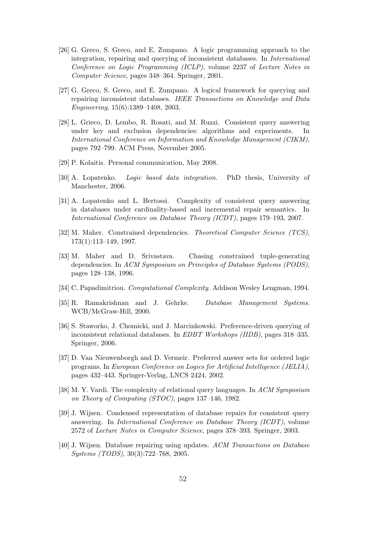- [26] G. Greco, S. Greco, and E. Zumpano. A logic programming approach to the integration, repairing and querying of inconsistent databases. In International Conference on Logic Programming (ICLP), volume 2237 of Lecture Notes in Computer Science, pages 348–364. Springer, 2001.
- [27] G. Greco, S. Greco, and E. Zumpano. A logical framework for querying and repairing inconsistent databases. IEEE Transactions on Knowledge and Data Engineering, 15(6):1389–1408, 2003.
- [28] L. Grieco, D. Lembo, R. Rosati, and M. Ruzzi. Consistent query answering under key and exclusion dependencies: algorithms and experiments. In International Conference on Information and Knowledge Management (CIKM), pages 792–799. ACM Press, November 2005.
- [29] P. Kolaitis. Personal communication, May 2008.
- [30] A. Lopatenko. Logic based data integration. PhD thesis, University of Manchester, 2006.
- [31] A. Lopatenko and L. Bertossi. Complexity of consistent query answering in databases under cardinality-based and incremental repair semantics. In International Conference on Database Theory (ICDT), pages 179–193, 2007.
- [32] M. Maher. Constrained dependencies. Theoretical Computer Science (TCS), 173(1):113–149, 1997.
- [33] M. Maher and D. Srivastava. Chasing constrained tuple-generating dependencies. In ACM Symposium on Principles of Database Systems (PODS), pages 128–138, 1996.
- [34] C. Papadimitriou. Computational Complexity. Addison Wesley Lengman, 1994.
- [35] R. Ramakrishnan and J. Gehrke. Database Management Systems. WCB/McGraw-Hill, 2000.
- [36] S. Staworko, J. Chomicki, and J. Marcinkowski. Preference-driven querying of inconsistent relational databases. In EDBT Workshops (IIDB), pages 318–335. Springer, 2006.
- [37] D. Van Nieuwenborgh and D. Vermeir. Preferred answer sets for ordered logic programs. In European Conference on Logics for Artificial Intelligence (JELIA), pages 432–443. Springer-Verlag, LNCS 2424, 2002.
- [38] M. Y. Vardi. The complexity of relational query languages. In ACM Symposium on Theory of Computing (STOC), pages 137–146, 1982.
- [39] J. Wijsen. Condensed representation of database repairs for consistent query answering. In International Conference on Database Theory (ICDT), volume 2572 of Lecture Notes in Computer Science, pages 378–393. Springer, 2003.
- [40] J. Wijsen. Database repairing using updates. ACM Transactions on Database Systems (TODS), 30(3):722–768, 2005.